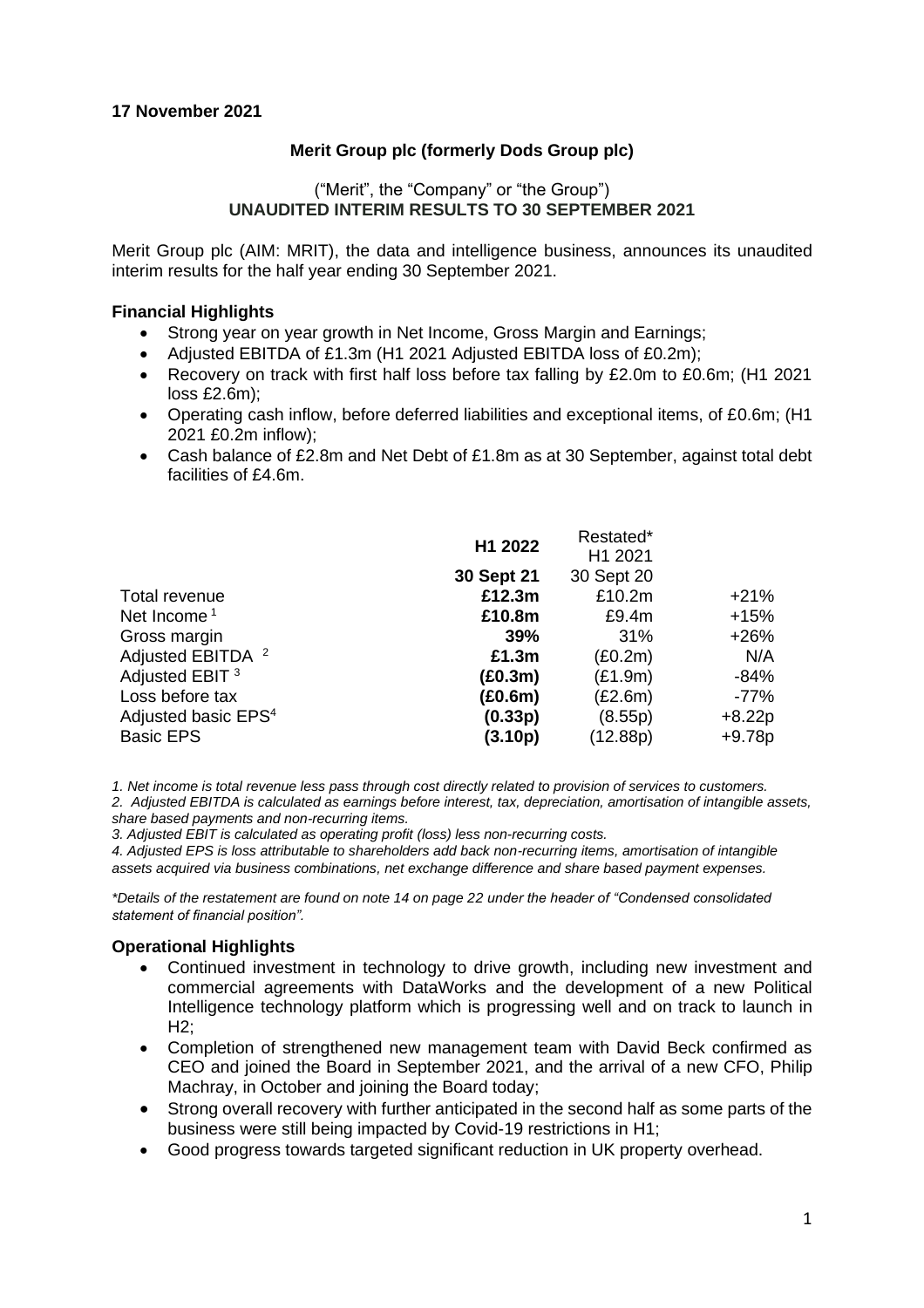#### **Merit Group plc (formerly Dods Group plc)**

#### ("Merit", the "Company" or "the Group") **UNAUDITED INTERIM RESULTS TO 30 SEPTEMBER 2021**

Merit Group plc (AIM: MRIT), the data and intelligence business, announces its unaudited interim results for the half year ending 30 September 2021.

#### **Financial Highlights**

- Strong year on year growth in Net Income, Gross Margin and Earnings;
- Adjusted EBITDA of £1.3m (H1 2021 Adjusted EBITDA loss of £0.2m);
- Recovery on track with first half loss before tax falling by £2.0m to £0.6m; (H1 2021) loss £2.6m);
- Operating cash inflow, before deferred liabilities and exceptional items, of £0.6m; (H1 2021 £0.2m inflow);
- Cash balance of £2.8m and Net Debt of £1.8m as at 30 September, against total debt facilities of £4.6m.

|                                 | H1 2022    | Restated*<br>H1 2021 |          |
|---------------------------------|------------|----------------------|----------|
|                                 | 30 Sept 21 | 30 Sept 20           |          |
| Total revenue                   | £12.3m     | £10.2m               | $+21%$   |
| Net Income <sup>1</sup>         | £10.8m     | £9.4m                | $+15%$   |
| Gross margin                    | 39%        | 31%                  | $+26%$   |
| Adjusted EBITDA <sup>2</sup>    | £1.3m      | (E0.2m)              | N/A      |
| Adjusted EBIT <sup>3</sup>      | (E0.3m)    | (E1.9m)              | $-84%$   |
| Loss before tax                 | (E0.6m)    | (E2.6m)              | $-77\%$  |
| Adjusted basic EPS <sup>4</sup> | (0.33p)    | (8.55p)              | $+8.22p$ |
| <b>Basic EPS</b>                | (3.10p)    | (12.88p)             | $+9.78p$ |
|                                 |            |                      |          |

*1. Net income is total revenue less pass through cost directly related to provision of services to customers.*

*2. Adjusted EBITDA is calculated as earnings before interest, tax, depreciation, amortisation of intangible assets, share based payments and non-recurring items.*

*3. Adjusted EBIT is calculated as operating profit (loss) less non-recurring costs.*

*4. Adjusted EPS is loss attributable to shareholders add back non-recurring items, amortisation of intangible assets acquired via business combinations, net exchange difference and share based payment expenses.*

*\*Details of the restatement are found on note 14 on page 22 under the header of "Condensed consolidated statement of financial position".* 

#### **Operational Highlights**

- Continued investment in technology to drive growth, including new investment and commercial agreements with DataWorks and the development of a new Political Intelligence technology platform which is progressing well and on track to launch in H2;
- Completion of strengthened new management team with David Beck confirmed as CEO and joined the Board in September 2021, and the arrival of a new CFO, Philip Machray, in October and joining the Board today;
- Strong overall recovery with further anticipated in the second half as some parts of the business were still being impacted by Covid-19 restrictions in H1;
- Good progress towards targeted significant reduction in UK property overhead.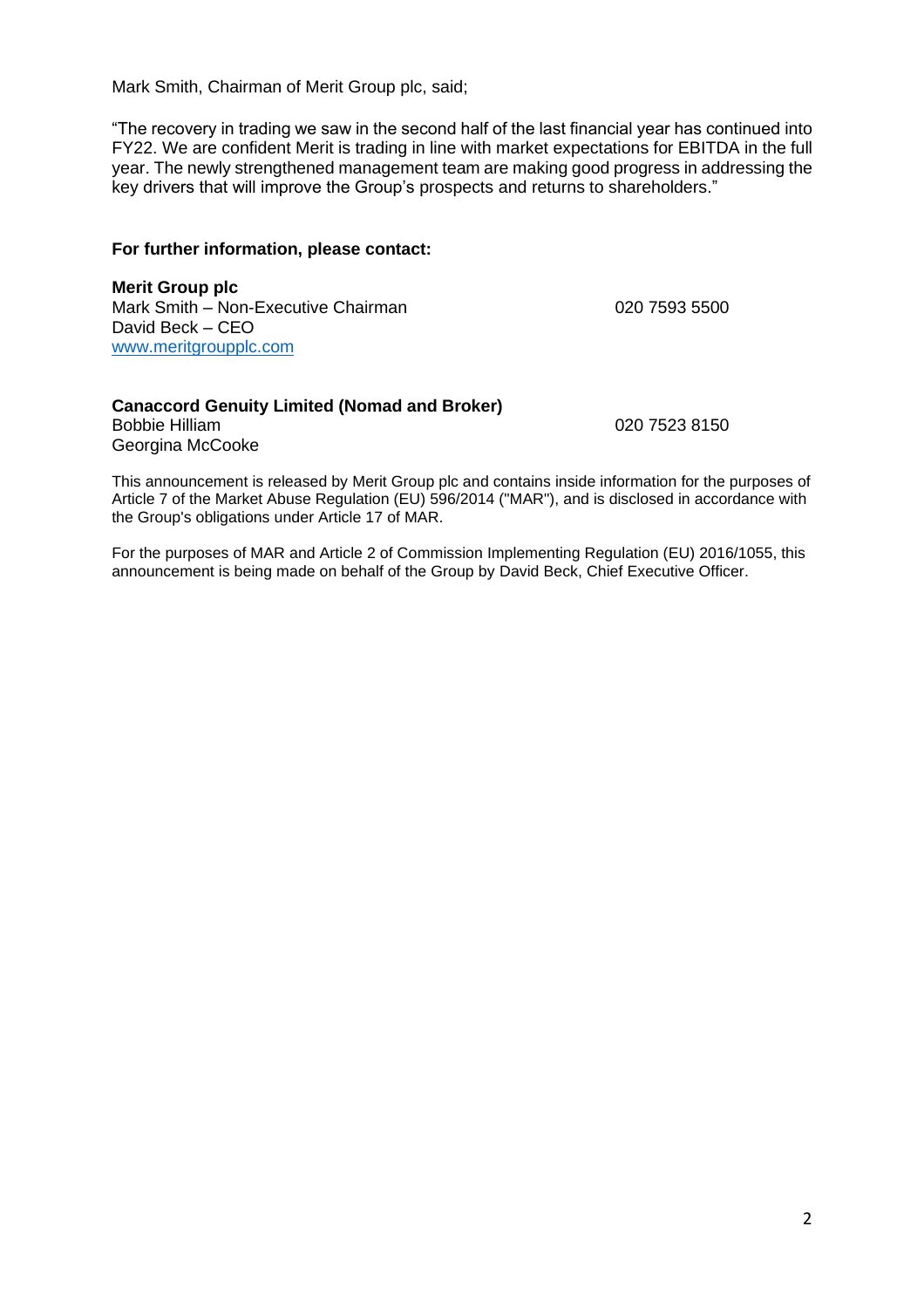Mark Smith, Chairman of Merit Group plc, said;

"The recovery in trading we saw in the second half of the last financial year has continued into FY22. We are confident Merit is trading in line with market expectations for EBITDA in the full year. The newly strengthened management team are making good progress in addressing the key drivers that will improve the Group's prospects and returns to shareholders."

#### **For further information, please contact:**

**Merit Group plc** Mark Smith – Non-Executive Chairman 020 7593 5500 David Beck – CEO [www.meritgroupplc.com](http://www.meritgroupplc.com/)

#### **Canaccord Genuity Limited (Nomad and Broker)**  Bobbie Hilliam 020 7523 8150 Georgina McCooke

This announcement is released by Merit Group plc and contains inside information for the purposes of Article 7 of the Market Abuse Regulation (EU) 596/2014 ("MAR"), and is disclosed in accordance with the Group's obligations under Article 17 of MAR.

For the purposes of MAR and Article 2 of Commission Implementing Regulation (EU) 2016/1055, this announcement is being made on behalf of the Group by David Beck, Chief Executive Officer.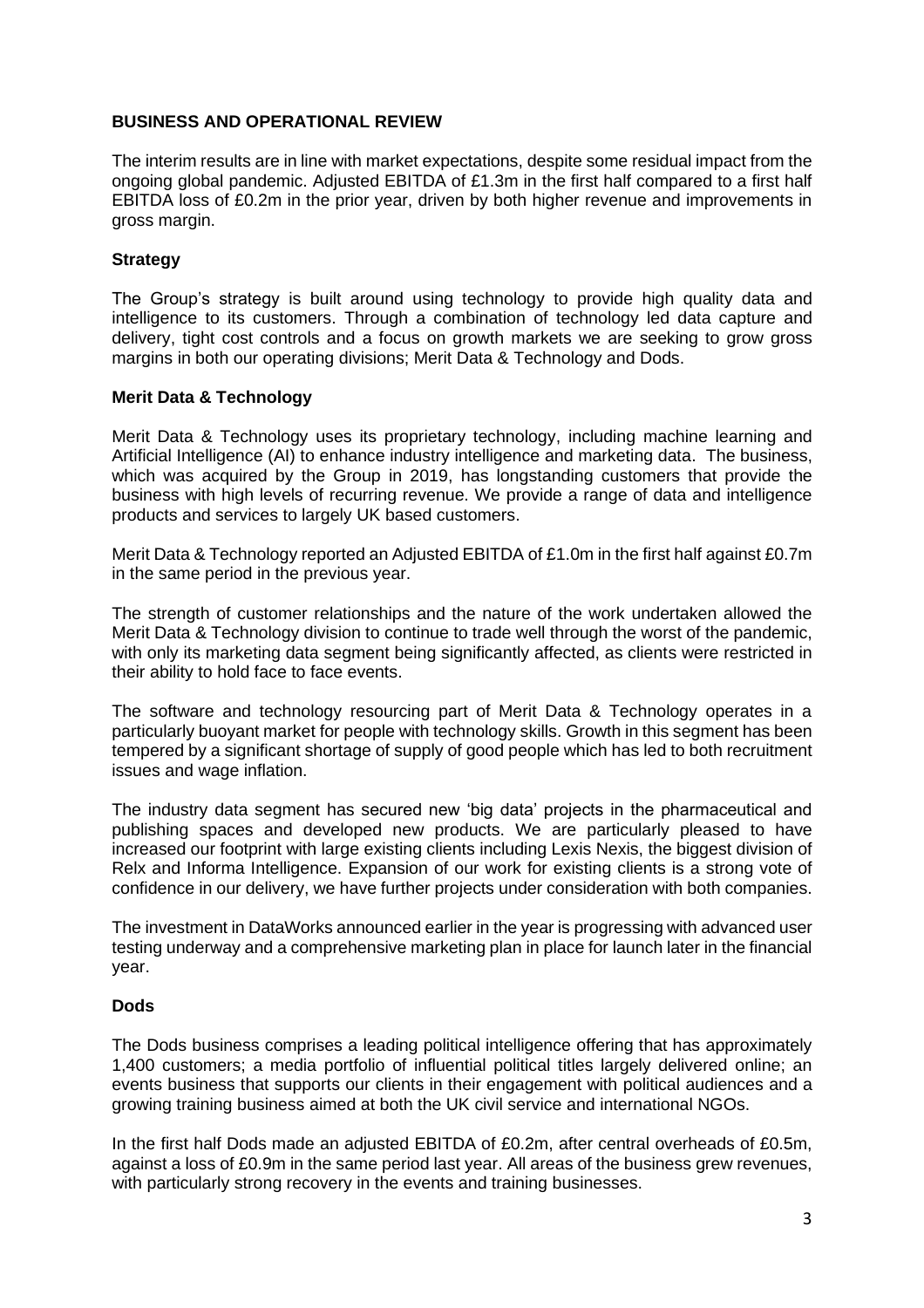#### **BUSINESS AND OPERATIONAL REVIEW**

The interim results are in line with market expectations, despite some residual impact from the ongoing global pandemic. Adjusted EBITDA of £1.3m in the first half compared to a first half EBITDA loss of £0.2m in the prior year, driven by both higher revenue and improvements in gross margin.

#### **Strategy**

The Group's strategy is built around using technology to provide high quality data and intelligence to its customers. Through a combination of technology led data capture and delivery, tight cost controls and a focus on growth markets we are seeking to grow gross margins in both our operating divisions; Merit Data & Technology and Dods.

#### **Merit Data & Technology**

Merit Data & Technology uses its proprietary technology, including machine learning and Artificial Intelligence (AI) to enhance industry intelligence and marketing data. The business, which was acquired by the Group in 2019, has longstanding customers that provide the business with high levels of recurring revenue. We provide a range of data and intelligence products and services to largely UK based customers.

Merit Data & Technology reported an Adjusted EBITDA of £1.0m in the first half against £0.7m in the same period in the previous year.

The strength of customer relationships and the nature of the work undertaken allowed the Merit Data & Technology division to continue to trade well through the worst of the pandemic, with only its marketing data segment being significantly affected, as clients were restricted in their ability to hold face to face events.

The software and technology resourcing part of Merit Data & Technology operates in a particularly buoyant market for people with technology skills. Growth in this segment has been tempered by a significant shortage of supply of good people which has led to both recruitment issues and wage inflation.

The industry data segment has secured new 'big data' projects in the pharmaceutical and publishing spaces and developed new products. We are particularly pleased to have increased our footprint with large existing clients including Lexis Nexis, the biggest division of Relx and Informa Intelligence. Expansion of our work for existing clients is a strong vote of confidence in our delivery, we have further projects under consideration with both companies.

The investment in DataWorks announced earlier in the year is progressing with advanced user testing underway and a comprehensive marketing plan in place for launch later in the financial year.

#### **Dods**

The Dods business comprises a leading political intelligence offering that has approximately 1,400 customers; a media portfolio of influential political titles largely delivered online; an events business that supports our clients in their engagement with political audiences and a growing training business aimed at both the UK civil service and international NGOs.

In the first half Dods made an adjusted EBITDA of £0.2m, after central overheads of £0.5m, against a loss of £0.9m in the same period last year. All areas of the business grew revenues, with particularly strong recovery in the events and training businesses.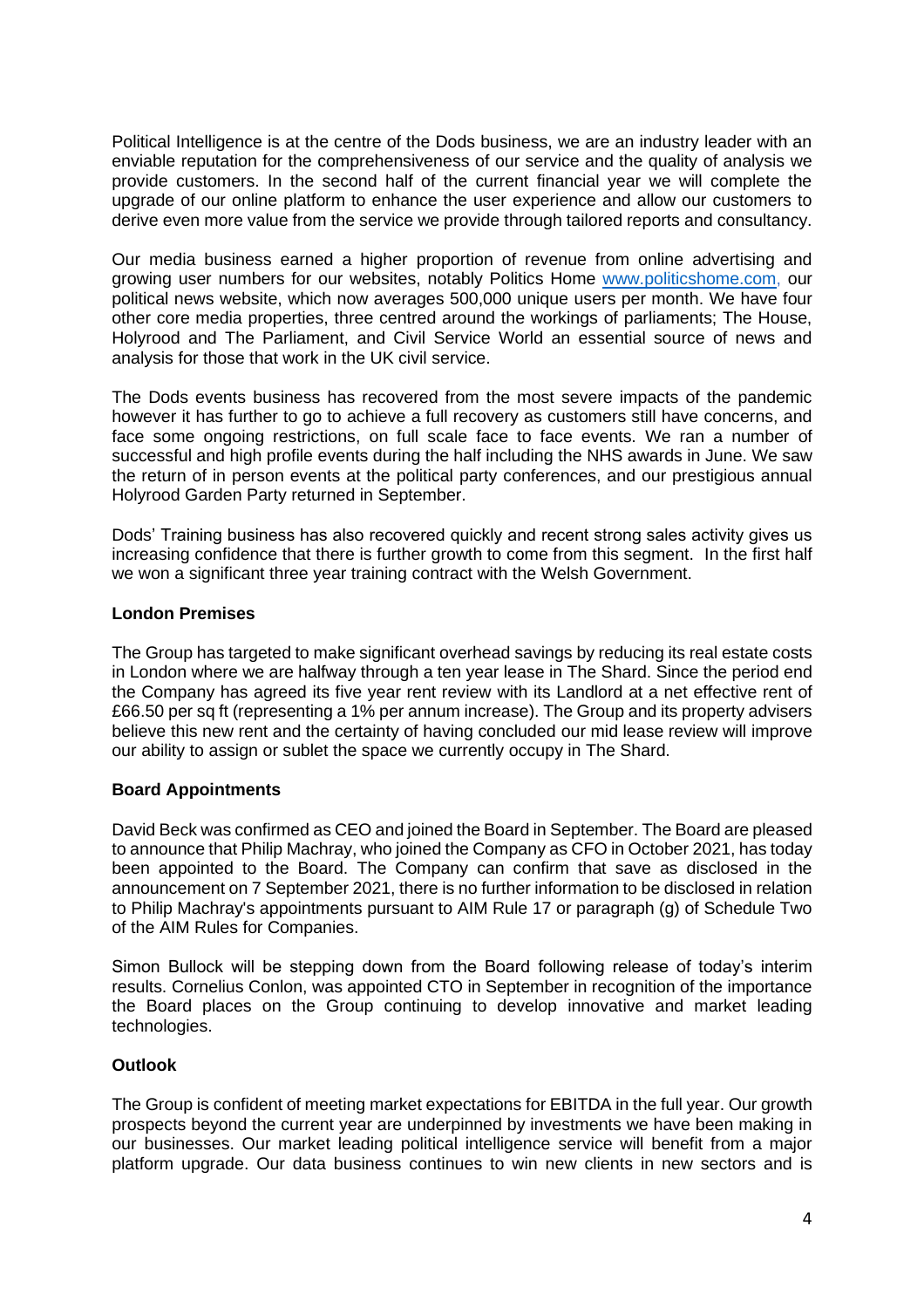Political Intelligence is at the centre of the Dods business, we are an industry leader with an enviable reputation for the comprehensiveness of our service and the quality of analysis we provide customers. In the second half of the current financial year we will complete the upgrade of our online platform to enhance the user experience and allow our customers to derive even more value from the service we provide through tailored reports and consultancy.

Our media business earned a higher proportion of revenue from online advertising and growing user numbers for our websites, notably Politics Home [www.politicshome.com,](http://www.politicshome.com/) our political news website, which now averages 500,000 unique users per month. We have four other core media properties, three centred around the workings of parliaments; The House, Holyrood and The Parliament, and Civil Service World an essential source of news and analysis for those that work in the UK civil service.

The Dods events business has recovered from the most severe impacts of the pandemic however it has further to go to achieve a full recovery as customers still have concerns, and face some ongoing restrictions, on full scale face to face events. We ran a number of successful and high profile events during the half including the NHS awards in June. We saw the return of in person events at the political party conferences, and our prestigious annual Holyrood Garden Party returned in September.

Dods' Training business has also recovered quickly and recent strong sales activity gives us increasing confidence that there is further growth to come from this segment. In the first half we won a significant three year training contract with the Welsh Government.

#### **London Premises**

The Group has targeted to make significant overhead savings by reducing its real estate costs in London where we are halfway through a ten year lease in The Shard. Since the period end the Company has agreed its five year rent review with its Landlord at a net effective rent of £66.50 per sq ft (representing a 1% per annum increase). The Group and its property advisers believe this new rent and the certainty of having concluded our mid lease review will improve our ability to assign or sublet the space we currently occupy in The Shard.

#### **Board Appointments**

David Beck was confirmed as CEO and joined the Board in September. The Board are pleased to announce that Philip Machray, who joined the Company as CFO in October 2021, has today been appointed to the Board. The Company can confirm that save as disclosed in the announcement on 7 September 2021, there is no further information to be disclosed in relation to Philip Machray's appointments pursuant to AIM Rule 17 or paragraph (g) of Schedule Two of the AIM Rules for Companies.

Simon Bullock will be stepping down from the Board following release of today's interim results. Cornelius Conlon, was appointed CTO in September in recognition of the importance the Board places on the Group continuing to develop innovative and market leading technologies.

### **Outlook**

The Group is confident of meeting market expectations for EBITDA in the full year. Our growth prospects beyond the current year are underpinned by investments we have been making in our businesses. Our market leading political intelligence service will benefit from a major platform upgrade. Our data business continues to win new clients in new sectors and is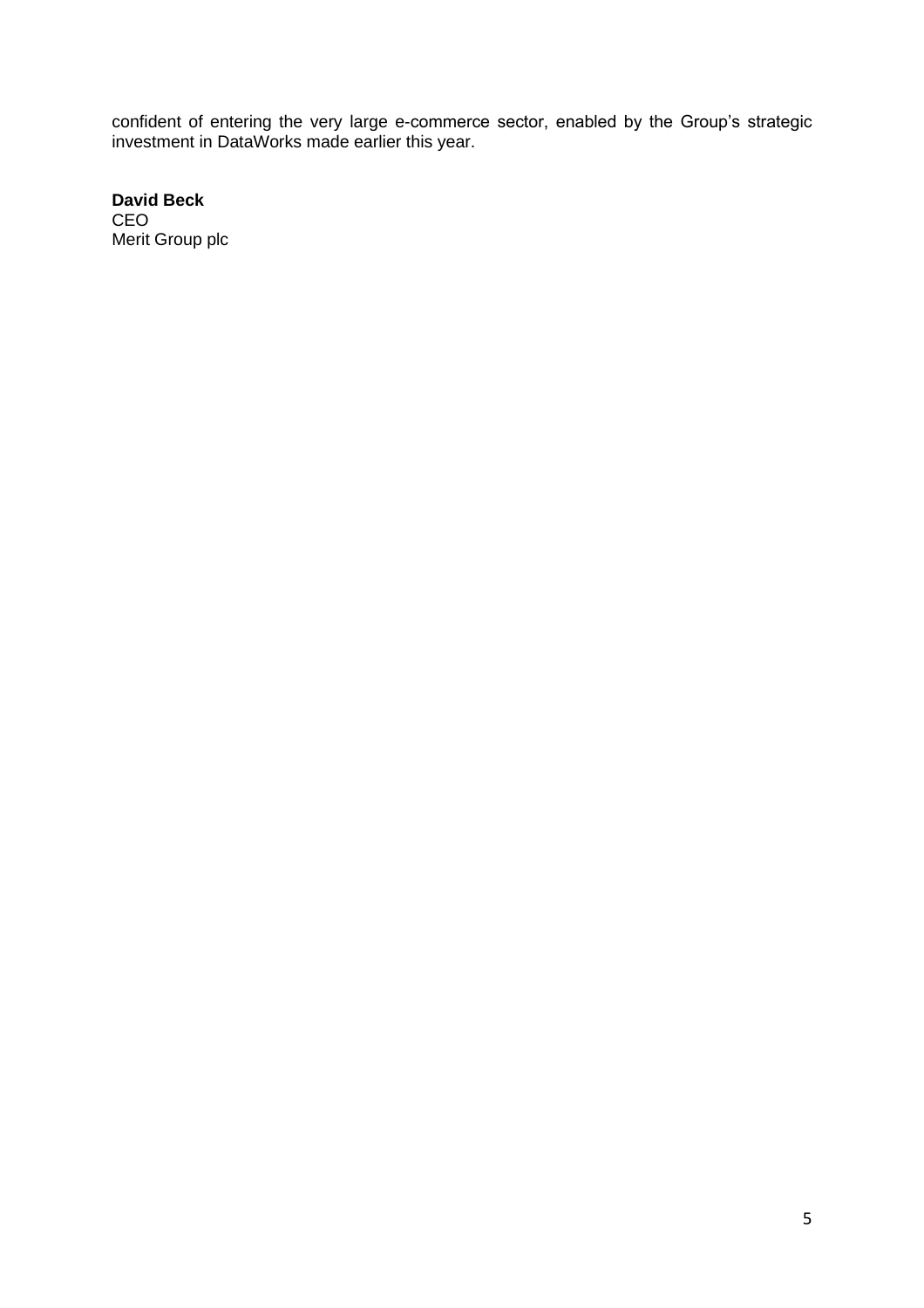confident of entering the very large e-commerce sector, enabled by the Group's strategic investment in DataWorks made earlier this year.

**David Beck** CEO Merit Group plc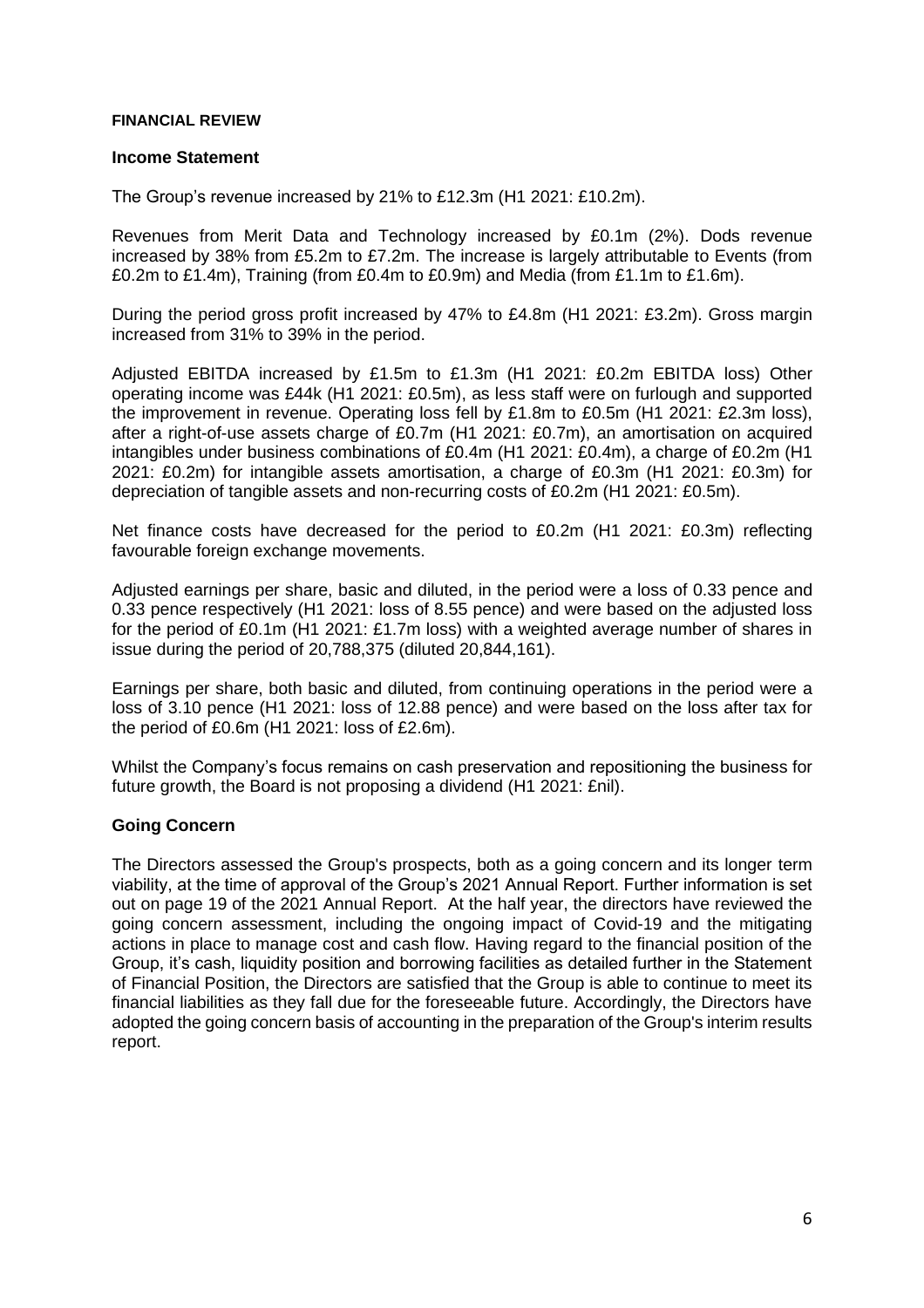#### **FINANCIAL REVIEW**

#### **Income Statement**

The Group's revenue increased by 21% to £12.3m (H1 2021: £10.2m).

Revenues from Merit Data and Technology increased by £0.1m (2%). Dods revenue increased by 38% from £5.2m to £7.2m. The increase is largely attributable to Events (from £0.2m to £1.4m), Training (from £0.4m to £0.9m) and Media (from £1.1m to £1.6m).

During the period gross profit increased by 47% to £4.8m (H1 2021: £3.2m). Gross margin increased from 31% to 39% in the period.

Adjusted EBITDA increased by £1.5m to £1.3m (H1 2021: £0.2m EBITDA loss) Other operating income was £44k (H1 2021: £0.5m), as less staff were on furlough and supported the improvement in revenue. Operating loss fell by £1.8m to £0.5m (H1 2021: £2.3m loss), after a right-of-use assets charge of £0.7m (H1 2021: £0.7m), an amortisation on acquired intangibles under business combinations of £0.4m (H1 2021: £0.4m), a charge of £0.2m (H1 2021: £0.2m) for intangible assets amortisation, a charge of £0.3m (H1 2021: £0.3m) for depreciation of tangible assets and non-recurring costs of £0.2m (H1 2021: £0.5m).

Net finance costs have decreased for the period to £0.2m (H1 2021: £0.3m) reflecting favourable foreign exchange movements.

Adjusted earnings per share, basic and diluted, in the period were a loss of 0.33 pence and 0.33 pence respectively (H1 2021: loss of 8.55 pence) and were based on the adjusted loss for the period of £0.1m (H1 2021: £1.7m loss) with a weighted average number of shares in issue during the period of 20,788,375 (diluted 20,844,161).

Earnings per share, both basic and diluted, from continuing operations in the period were a loss of 3.10 pence (H1 2021: loss of 12.88 pence) and were based on the loss after tax for the period of £0.6m (H1 2021: loss of £2.6m).

Whilst the Company's focus remains on cash preservation and repositioning the business for future growth, the Board is not proposing a dividend (H1 2021: £nil).

#### **Going Concern**

The Directors assessed the Group's prospects, both as a going concern and its longer term viability, at the time of approval of the Group's 2021 Annual Report. Further information is set out on page 19 of the 2021 Annual Report. At the half year, the directors have reviewed the going concern assessment, including the ongoing impact of Covid-19 and the mitigating actions in place to manage cost and cash flow. Having regard to the financial position of the Group, it's cash, liquidity position and borrowing facilities as detailed further in the Statement of Financial Position, the Directors are satisfied that the Group is able to continue to meet its financial liabilities as they fall due for the foreseeable future. Accordingly, the Directors have adopted the going concern basis of accounting in the preparation of the Group's interim results report.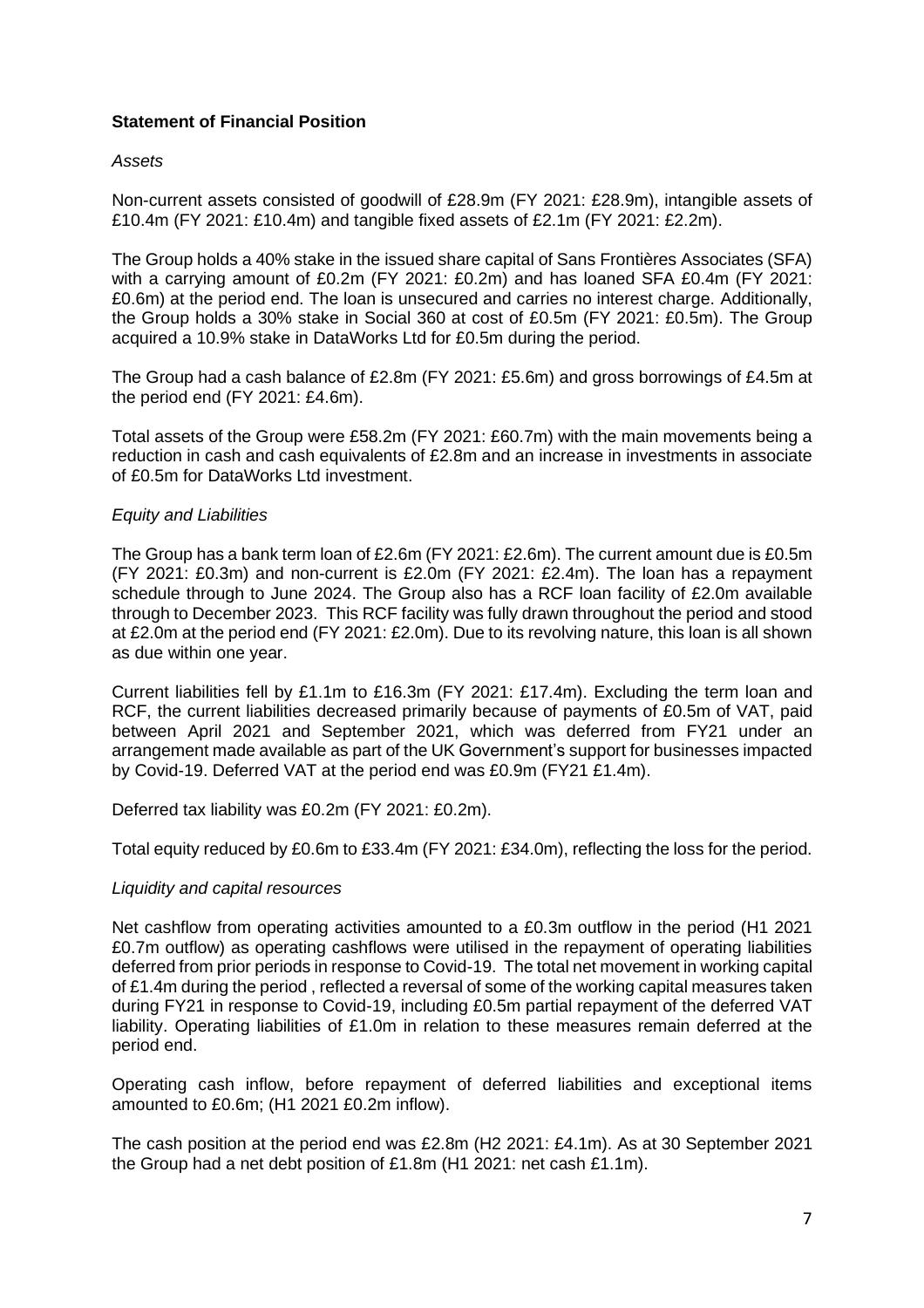#### **Statement of Financial Position**

#### *Assets*

Non-current assets consisted of goodwill of £28.9m (FY 2021: £28.9m), intangible assets of £10.4m (FY 2021: £10.4m) and tangible fixed assets of £2.1m (FY 2021: £2.2m).

The Group holds a 40% stake in the issued share capital of Sans Frontières Associates (SFA) with a carrying amount of £0.2m (FY 2021: £0.2m) and has loaned SFA £0.4m (FY 2021: £0.6m) at the period end. The loan is unsecured and carries no interest charge. Additionally, the Group holds a 30% stake in Social 360 at cost of £0.5m (FY 2021: £0.5m). The Group acquired a 10.9% stake in DataWorks Ltd for £0.5m during the period.

The Group had a cash balance of £2.8m (FY 2021: £5.6m) and gross borrowings of £4.5m at the period end (FY 2021: £4.6m).

Total assets of the Group were £58.2m (FY 2021: £60.7m) with the main movements being a reduction in cash and cash equivalents of £2.8m and an increase in investments in associate of £0.5m for DataWorks Ltd investment.

#### *Equity and Liabilities*

The Group has a bank term loan of £2.6m (FY 2021: £2.6m). The current amount due is £0.5m (FY 2021: £0.3m) and non-current is £2.0m (FY 2021: £2.4m). The loan has a repayment schedule through to June 2024. The Group also has a RCF loan facility of £2.0m available through to December 2023. This RCF facility was fully drawn throughout the period and stood at £2.0m at the period end (FY 2021: £2.0m). Due to its revolving nature, this loan is all shown as due within one year.

Current liabilities fell by £1.1m to £16.3m (FY 2021: £17.4m). Excluding the term loan and RCF, the current liabilities decreased primarily because of payments of £0.5m of VAT, paid between April 2021 and September 2021, which was deferred from FY21 under an arrangement made available as part of the UK Government's support for businesses impacted by Covid-19. Deferred VAT at the period end was £0.9m (FY21 £1.4m).

Deferred tax liability was £0.2m (FY 2021: £0.2m).

Total equity reduced by £0.6m to £33.4m (FY 2021: £34.0m), reflecting the loss for the period.

#### *Liquidity and capital resources*

Net cashflow from operating activities amounted to a £0.3m outflow in the period (H1 2021 £0.7m outflow) as operating cashflows were utilised in the repayment of operating liabilities deferred from prior periods in response to Covid-19. The total net movement in working capital of £1.4m during the period , reflected a reversal of some of the working capital measures taken during FY21 in response to Covid-19, including £0.5m partial repayment of the deferred VAT liability. Operating liabilities of £1.0m in relation to these measures remain deferred at the period end.

Operating cash inflow, before repayment of deferred liabilities and exceptional items amounted to £0.6m; (H1 2021 £0.2m inflow).

The cash position at the period end was £2.8m (H2 2021: £4.1m). As at 30 September 2021 the Group had a net debt position of £1.8m (H1 2021: net cash £1.1m).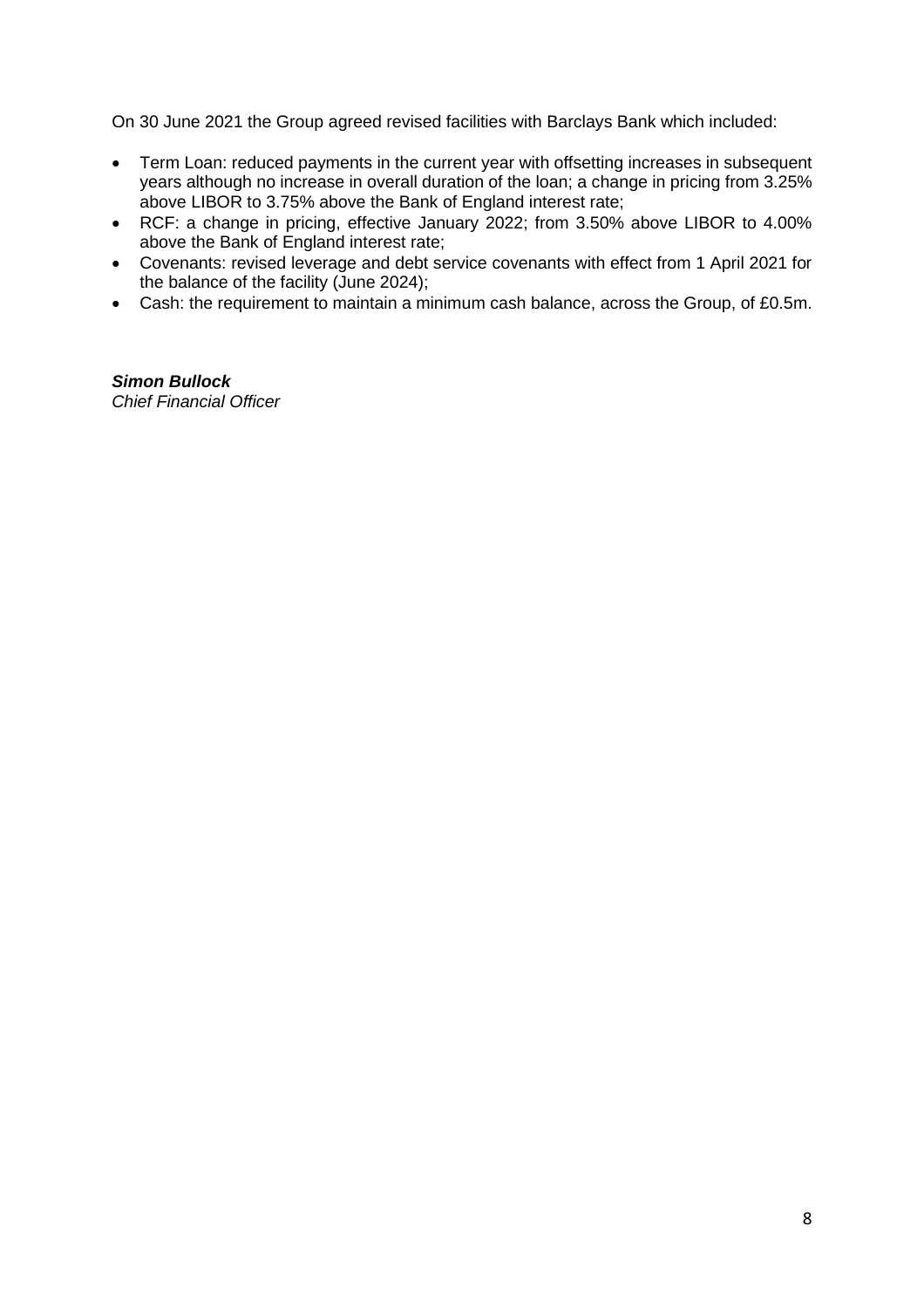On 30 June 2021 the Group agreed revised facilities with Barclays Bank which included:

- Term Loan: reduced payments in the current year with offsetting increases in subsequent years although no increase in overall duration of the loan; a change in pricing from 3.25% above LIBOR to 3.75% above the Bank of England interest rate;
- RCF: a change in pricing, effective January 2022; from 3.50% above LIBOR to 4.00% above the Bank of England interest rate;
- Covenants: revised leverage and debt service covenants with effect from 1 April 2021 for the balance of the facility (June 2024);
- Cash: the requirement to maintain a minimum cash balance, across the Group, of £0.5m.

## *Simon Bullock*

*Chief Financial Officer*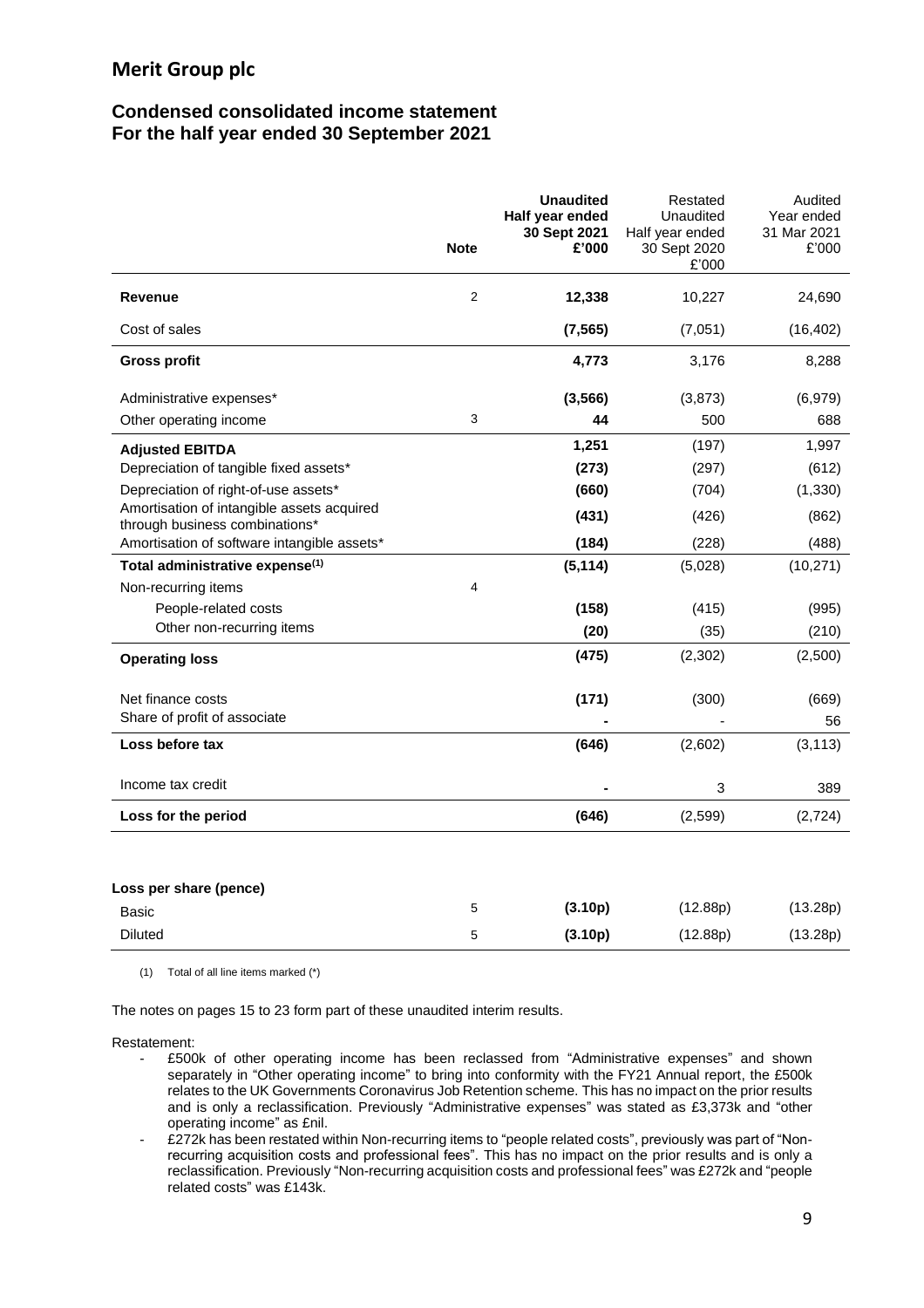#### **Condensed consolidated income statement For the half year ended 30 September 2021**

|                                                                              | <b>Note</b>    | <b>Unaudited</b><br>Half year ended<br>30 Sept 2021<br>£'000 | Restated<br>Unaudited<br>Half year ended<br>30 Sept 2020<br>£'000 | Audited<br>Year ended<br>31 Mar 2021<br>£'000 |
|------------------------------------------------------------------------------|----------------|--------------------------------------------------------------|-------------------------------------------------------------------|-----------------------------------------------|
| <b>Revenue</b>                                                               | $\overline{2}$ | 12,338                                                       | 10,227                                                            | 24,690                                        |
| Cost of sales                                                                |                | (7, 565)                                                     | (7,051)                                                           | (16, 402)                                     |
| <b>Gross profit</b>                                                          |                | 4,773                                                        | 3,176                                                             | 8,288                                         |
| Administrative expenses*                                                     |                | (3, 566)                                                     | (3,873)                                                           | (6,979)                                       |
| Other operating income                                                       | 3              | 44                                                           | 500                                                               | 688                                           |
| <b>Adjusted EBITDA</b>                                                       |                | 1,251                                                        | (197)                                                             | 1,997                                         |
| Depreciation of tangible fixed assets*                                       |                | (273)                                                        | (297)                                                             | (612)                                         |
| Depreciation of right-of-use assets*                                         |                | (660)                                                        | (704)                                                             | (1, 330)                                      |
| Amortisation of intangible assets acquired<br>through business combinations* |                | (431)                                                        | (426)                                                             | (862)                                         |
| Amortisation of software intangible assets*                                  |                | (184)                                                        | (228)                                                             | (488)                                         |
| Total administrative expense <sup>(1)</sup>                                  |                | (5, 114)                                                     | (5,028)                                                           | (10, 271)                                     |
| Non-recurring items                                                          | 4              |                                                              |                                                                   |                                               |
| People-related costs                                                         |                | (158)                                                        | (415)                                                             | (995)                                         |
| Other non-recurring items                                                    |                | (20)                                                         | (35)                                                              | (210)                                         |
| <b>Operating loss</b>                                                        |                | (475)                                                        | (2,302)                                                           | (2,500)                                       |
| Net finance costs                                                            |                | (171)                                                        | (300)                                                             | (669)                                         |
| Share of profit of associate                                                 |                |                                                              |                                                                   | 56                                            |
| Loss before tax                                                              |                | (646)                                                        | (2,602)                                                           | (3, 113)                                      |
| Income tax credit                                                            |                |                                                              | 3                                                                 | 389                                           |
| Loss for the period                                                          |                | (646)                                                        | (2, 599)                                                          | (2,724)                                       |
|                                                                              |                |                                                              |                                                                   |                                               |
| Loss per share (pence)                                                       |                |                                                              |                                                                   |                                               |
| Basic                                                                        | 5              | (3.10p)                                                      | (12.88p)                                                          | (13.28p)                                      |
| <b>Diluted</b>                                                               | 5              | (3.10p)                                                      | (12.88p)                                                          | (13.28p)                                      |

(1) Total of all line items marked (\*)

The notes on pages 15 to 23 form part of these unaudited interim results.

Restatement:

- £500k of other operating income has been reclassed from "Administrative expenses" and shown separately in "Other operating income" to bring into conformity with the FY21 Annual report, the £500k relates to the UK Governments Coronavirus Job Retention scheme. This has no impact on the prior results and is only a reclassification. Previously "Administrative expenses" was stated as £3,373k and "other operating income" as £nil.
- £272k has been restated within Non-recurring items to "people related costs", previously was part of "Nonrecurring acquisition costs and professional fees". This has no impact on the prior results and is only a reclassification. Previously "Non-recurring acquisition costs and professional fees" was £272k and "people related costs" was £143k.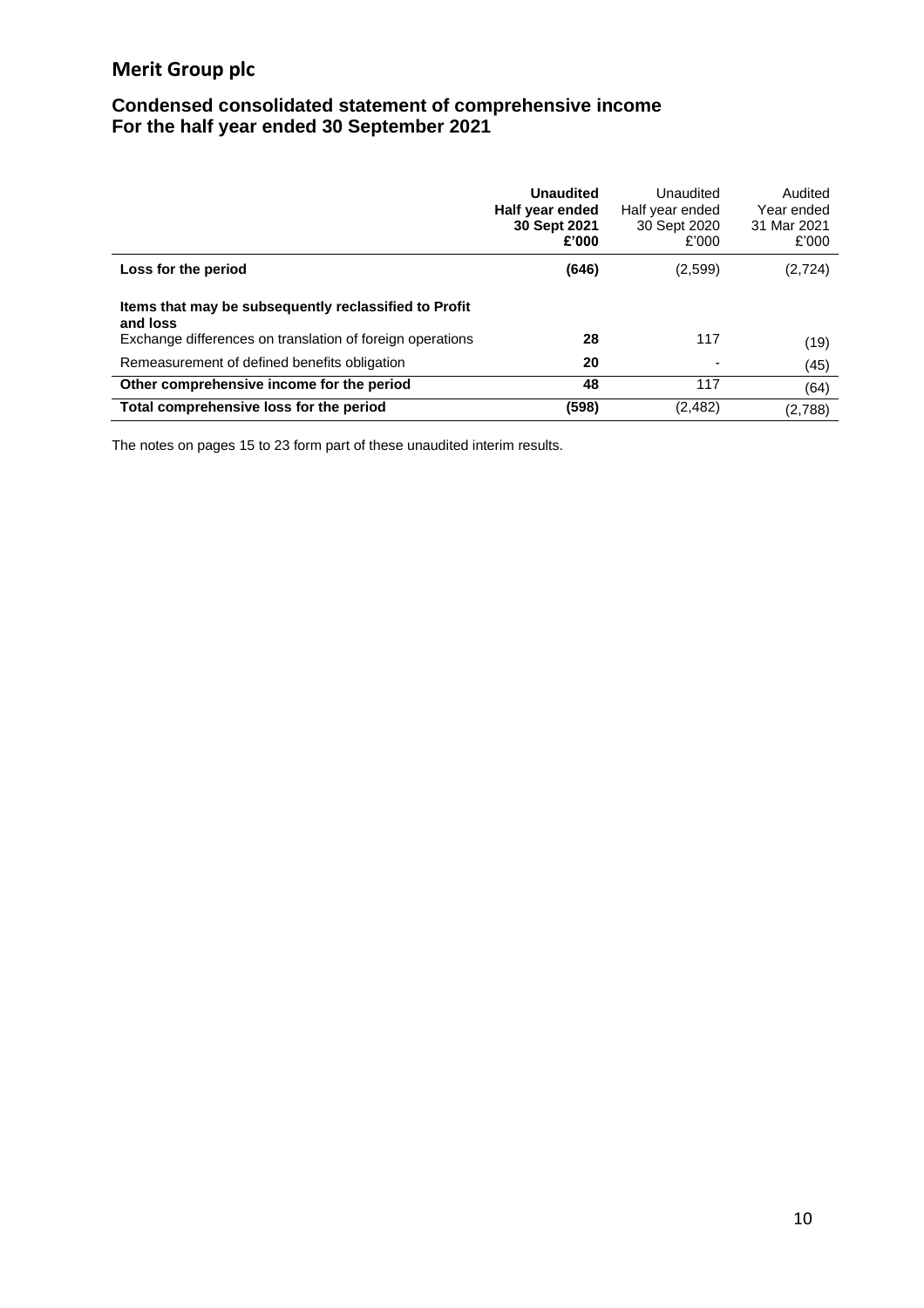## **Condensed consolidated statement of comprehensive income For the half year ended 30 September 2021**

|                                                                   | <b>Unaudited</b><br>Half year ended<br>30 Sept 2021<br>£'000 | Unaudited<br>Half year ended<br>30 Sept 2020<br>£'000 | Audited<br>Year ended<br>31 Mar 2021<br>£'000 |
|-------------------------------------------------------------------|--------------------------------------------------------------|-------------------------------------------------------|-----------------------------------------------|
| Loss for the period                                               | (646)                                                        | (2,599)                                               | (2,724)                                       |
| Items that may be subsequently reclassified to Profit<br>and loss |                                                              |                                                       |                                               |
| Exchange differences on translation of foreign operations         | 28                                                           | 117                                                   | (19)                                          |
| Remeasurement of defined benefits obligation                      | 20                                                           |                                                       | (45)                                          |
| Other comprehensive income for the period                         | 48                                                           | 117                                                   | (64)                                          |
| Total comprehensive loss for the period                           | (598)                                                        | (2,482)                                               | (2,788)                                       |

The notes on pages 15 to 23 form part of these unaudited interim results.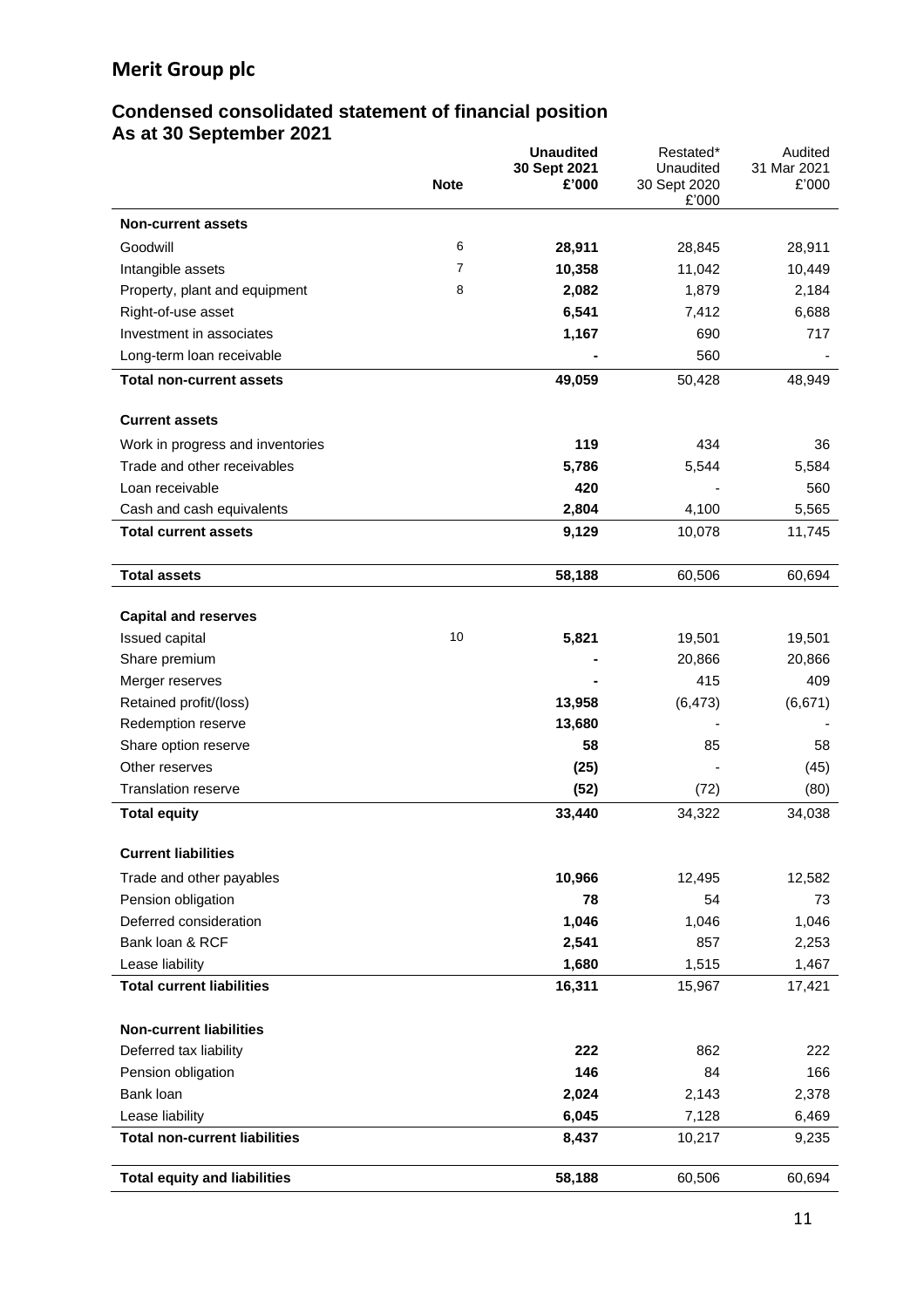### **Condensed consolidated statement of financial position As at 30 September 2021**

|                                              | <b>Note</b> | <b>Unaudited</b><br>30 Sept 2021<br>£'000 | Restated*<br>Unaudited<br>30 Sept 2020<br>£'000 | Audited<br>31 Mar 2021<br>£'000 |
|----------------------------------------------|-------------|-------------------------------------------|-------------------------------------------------|---------------------------------|
| <b>Non-current assets</b>                    |             |                                           |                                                 |                                 |
| Goodwill                                     | 6           | 28,911                                    | 28,845                                          | 28,911                          |
| Intangible assets                            | 7           | 10,358                                    | 11,042                                          | 10,449                          |
| Property, plant and equipment                | 8           | 2,082                                     | 1,879                                           | 2,184                           |
| Right-of-use asset                           |             | 6,541                                     | 7,412                                           | 6,688                           |
| Investment in associates                     |             | 1,167                                     | 690                                             | 717                             |
| Long-term loan receivable                    |             |                                           | 560                                             |                                 |
| <b>Total non-current assets</b>              |             | 49,059                                    | 50,428                                          | 48,949                          |
| <b>Current assets</b>                        |             |                                           |                                                 |                                 |
| Work in progress and inventories             |             | 119                                       | 434                                             | 36                              |
| Trade and other receivables                  |             | 5,786                                     | 5,544                                           | 5,584                           |
| Loan receivable                              |             | 420                                       |                                                 | 560                             |
| Cash and cash equivalents                    |             | 2,804                                     | 4,100                                           | 5,565                           |
| <b>Total current assets</b>                  |             | 9,129                                     | 10,078                                          | 11,745                          |
| <b>Total assets</b>                          |             | 58,188                                    | 60,506                                          | 60,694                          |
|                                              |             |                                           |                                                 |                                 |
| <b>Capital and reserves</b>                  |             |                                           |                                                 |                                 |
| Issued capital                               | 10          | 5,821                                     | 19,501                                          | 19,501                          |
| Share premium                                |             |                                           | 20,866<br>415                                   | 20,866                          |
| Merger reserves                              |             |                                           |                                                 | 409                             |
| Retained profit/(loss)<br>Redemption reserve |             | 13,958<br>13,680                          | (6, 473)                                        | (6,671)                         |
| Share option reserve                         |             | 58                                        | 85                                              | 58                              |
| Other reserves                               |             | (25)                                      |                                                 | (45)                            |
| <b>Translation reserve</b>                   |             | (52)                                      | (72)                                            | (80)                            |
| <b>Total equity</b>                          |             | 33,440                                    | 34,322                                          | 34,038                          |
| <b>Current liabilities</b>                   |             |                                           |                                                 |                                 |
| Trade and other payables                     |             | 10,966                                    | 12,495                                          | 12,582                          |
| Pension obligation                           |             | 78                                        | 54                                              | 73                              |
| Deferred consideration                       |             | 1,046                                     | 1,046                                           | 1,046                           |
| Bank loan & RCF                              |             | 2,541                                     | 857                                             | 2,253                           |
| Lease liability                              |             | 1,680                                     | 1,515                                           | 1,467                           |
| <b>Total current liabilities</b>             |             | 16,311                                    | 15,967                                          | 17,421                          |
| <b>Non-current liabilities</b>               |             |                                           |                                                 |                                 |
| Deferred tax liability                       |             | 222                                       | 862                                             | 222                             |
| Pension obligation                           |             | 146                                       | 84                                              | 166                             |
| Bank loan                                    |             | 2,024                                     | 2,143                                           | 2,378                           |
| Lease liability                              |             | 6,045                                     | 7,128                                           | 6,469                           |
| <b>Total non-current liabilities</b>         |             | 8,437                                     | 10,217                                          | 9,235                           |
| <b>Total equity and liabilities</b>          |             | 58,188                                    | 60,506                                          | 60,694                          |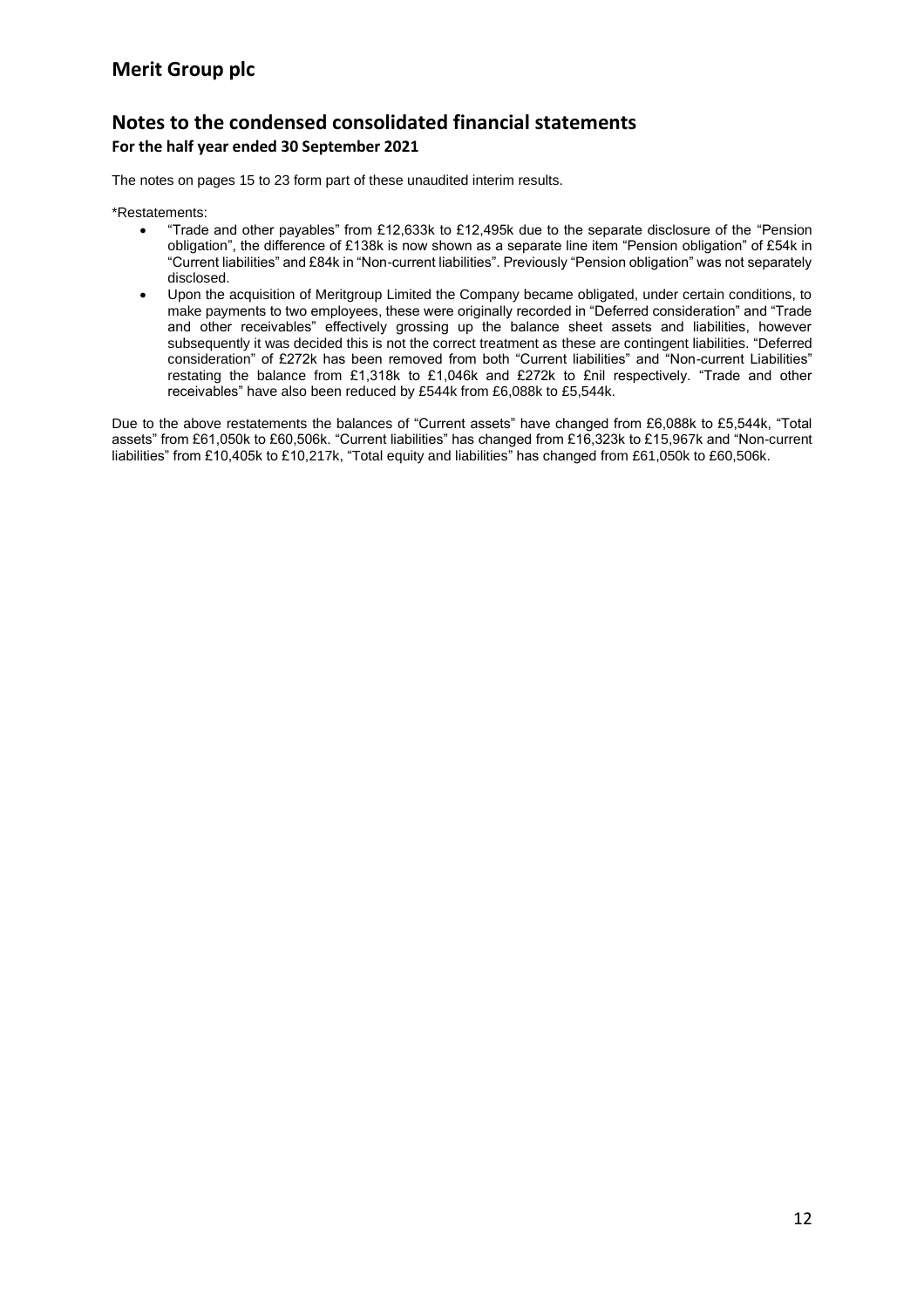## **Notes to the condensed consolidated financial statements For the half year ended 30 September 2021**

The notes on pages 15 to 23 form part of these unaudited interim results.

\*Restatements:

- "Trade and other payables" from £12,633k to £12,495k due to the separate disclosure of the "Pension obligation", the difference of £138k is now shown as a separate line item "Pension obligation" of £54k in "Current liabilities" and £84k in "Non-current liabilities". Previously "Pension obligation" was not separately disclosed.
- Upon the acquisition of Meritgroup Limited the Company became obligated, under certain conditions, to make payments to two employees, these were originally recorded in "Deferred consideration" and "Trade and other receivables" effectively grossing up the balance sheet assets and liabilities, however subsequently it was decided this is not the correct treatment as these are contingent liabilities. "Deferred consideration" of £272k has been removed from both "Current liabilities" and "Non-current Liabilities" restating the balance from £1,318k to £1,046k and £272k to £nil respectively. "Trade and other receivables" have also been reduced by £544k from £6,088k to £5,544k.

Due to the above restatements the balances of "Current assets" have changed from £6,088k to £5,544k, "Total assets" from £61,050k to £60,506k. "Current liabilities" has changed from £16,323k to £15,967k and "Non-current liabilities" from £10,405k to £10,217k, "Total equity and liabilities" has changed from £61,050k to £60,506k.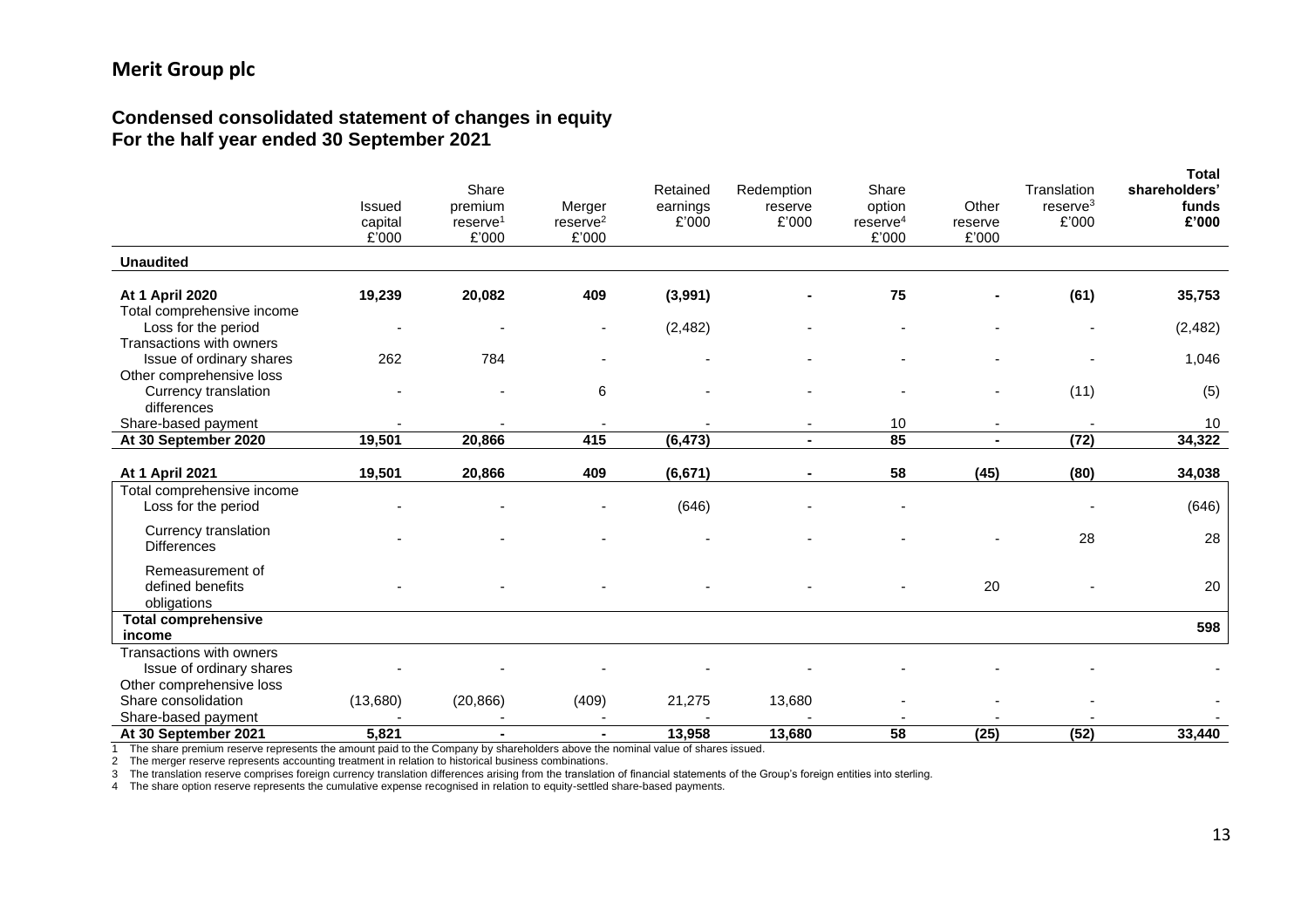#### **Condensed consolidated statement of changes in equity For the half year ended 30 September 2021**

|                                             | Issued           | Share<br>premium                 | Merger                          | Retained<br>earnings | Redemption<br>reserve                      | Share<br>option         | Other                                      | Translation<br>reserve <sup>3</sup> | <b>Total</b><br>shareholders'<br>funds |
|---------------------------------------------|------------------|----------------------------------|---------------------------------|----------------------|--------------------------------------------|-------------------------|--------------------------------------------|-------------------------------------|----------------------------------------|
|                                             | capital<br>£'000 | $r$ eserve <sup>1</sup><br>£'000 | $r$ eserve $2$<br>£'000         | £'000                | £'000                                      | $r$ eserve $4$<br>£'000 | reserve<br>£'000                           | £'000                               | £'000                                  |
| <b>Unaudited</b>                            |                  |                                  |                                 |                      |                                            |                         |                                            |                                     |                                        |
| <b>At 1 April 2020</b>                      | 19,239           | 20,082                           | 409                             | (3,991)              |                                            | 75                      |                                            | (61)                                | 35,753                                 |
| Total comprehensive income                  |                  |                                  |                                 |                      |                                            |                         |                                            |                                     |                                        |
| Loss for the period                         | ٠                | $\overline{\phantom{0}}$         | $\blacksquare$                  | (2, 482)             |                                            |                         |                                            |                                     | (2, 482)                               |
| Transactions with owners                    |                  |                                  |                                 |                      |                                            |                         |                                            |                                     |                                        |
| Issue of ordinary shares                    | 262              | 784                              |                                 |                      |                                            |                         |                                            |                                     | 1,046                                  |
| Other comprehensive loss                    |                  |                                  |                                 |                      |                                            |                         |                                            |                                     |                                        |
| Currency translation                        |                  |                                  | 6                               |                      |                                            |                         |                                            | (11)                                | (5)                                    |
| differences                                 |                  |                                  |                                 |                      |                                            |                         |                                            |                                     | 10                                     |
| Share-based payment<br>At 30 September 2020 | 19,501           | 20,866                           | $\overline{\phantom{a}}$<br>415 | (6, 473)             | $\overline{\phantom{a}}$<br>$\blacksquare$ | 10<br>85                | $\overline{\phantom{a}}$<br>$\blacksquare$ | (72)                                | 34,322                                 |
|                                             |                  |                                  |                                 |                      |                                            |                         |                                            |                                     |                                        |
| <b>At 1 April 2021</b>                      | 19,501           | 20,866                           | 409                             | (6, 671)             |                                            | 58                      | (45)                                       | (80)                                | 34,038                                 |
| Total comprehensive income                  |                  |                                  |                                 |                      |                                            |                         |                                            |                                     |                                        |
| Loss for the period                         |                  |                                  |                                 | (646)                |                                            |                         |                                            |                                     | (646)                                  |
| Currency translation                        |                  |                                  |                                 |                      |                                            |                         |                                            |                                     |                                        |
| <b>Differences</b>                          |                  |                                  |                                 |                      |                                            |                         |                                            | 28                                  | 28                                     |
|                                             |                  |                                  |                                 |                      |                                            |                         |                                            |                                     |                                        |
| Remeasurement of<br>defined benefits        |                  |                                  |                                 |                      |                                            |                         | 20                                         |                                     | 20                                     |
| obligations                                 |                  |                                  |                                 |                      |                                            |                         |                                            |                                     |                                        |
| <b>Total comprehensive</b>                  |                  |                                  |                                 |                      |                                            |                         |                                            |                                     |                                        |
| income                                      |                  |                                  |                                 |                      |                                            |                         |                                            |                                     | 598                                    |
| Transactions with owners                    |                  |                                  |                                 |                      |                                            |                         |                                            |                                     |                                        |
| Issue of ordinary shares                    |                  |                                  |                                 |                      |                                            |                         |                                            |                                     |                                        |
| Other comprehensive loss                    |                  |                                  |                                 |                      |                                            |                         |                                            |                                     |                                        |
| Share consolidation                         | (13,680)         | (20, 866)                        | (409)                           | 21,275               | 13,680                                     |                         |                                            |                                     |                                        |
| Share-based payment                         |                  |                                  |                                 |                      |                                            |                         |                                            |                                     |                                        |
| At 30 September 2021                        | 5,821            | $\blacksquare$                   | $\blacksquare$                  | 13,958               | 13,680                                     | 58                      | (25)                                       | (52)                                | 33,440                                 |

1 The share premium reserve represents the amount paid to the Company by shareholders above the nominal value of shares issued.

2 The merger reserve represents accounting treatment in relation to historical business combinations.

3 The translation reserve comprises foreign currency translation differences arising from the translation of financial statements of the Group's foreign entities into sterling.

4 The share option reserve represents the cumulative expense recognised in relation to equity-settled share-based payments.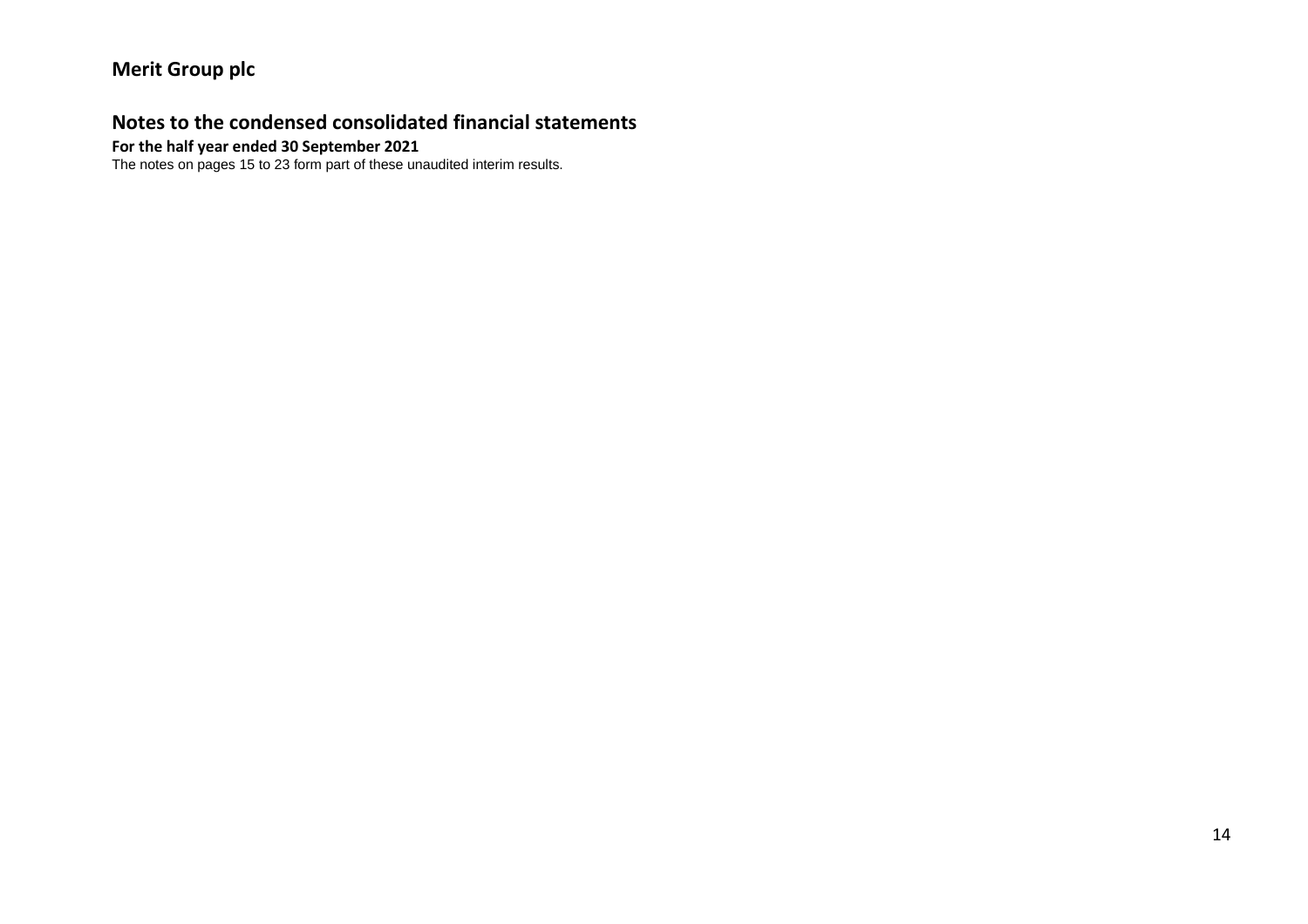## **Notes to the condensed consolidated financial statements**

#### **For the half year ended 30 September 2021**

The notes on pages 15 to 23 form part of these unaudited interim results.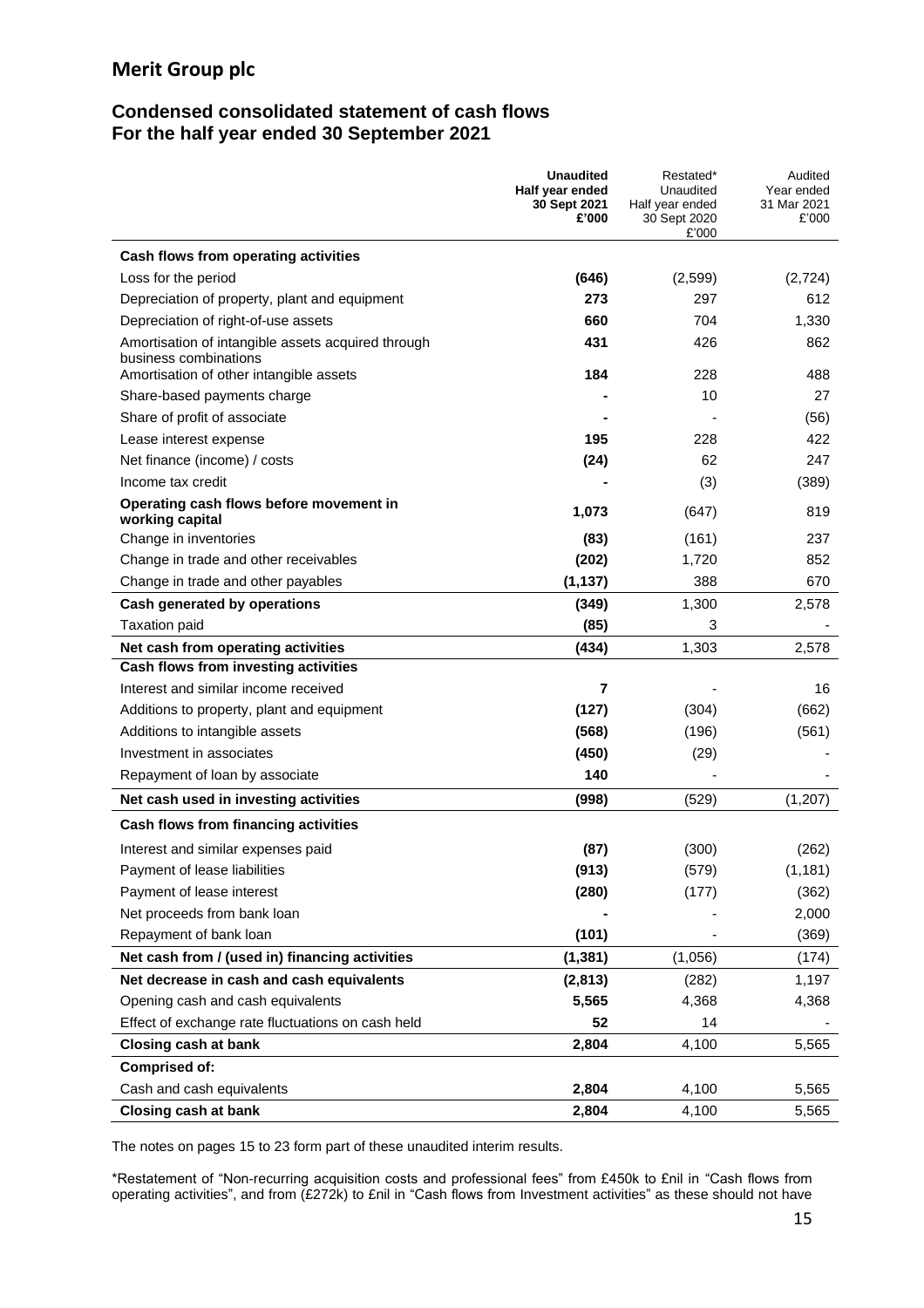### **Condensed consolidated statement of cash flows For the half year ended 30 September 2021**

|                                                                                                                        | <b>Unaudited</b><br>Half year ended<br>30 Sept 2021<br>£'000 | Restated*<br>Unaudited<br>Half year ended<br>30 Sept 2020<br>£'000 | Audited<br>Year ended<br>31 Mar 2021<br>£'000 |
|------------------------------------------------------------------------------------------------------------------------|--------------------------------------------------------------|--------------------------------------------------------------------|-----------------------------------------------|
| Cash flows from operating activities                                                                                   |                                                              |                                                                    |                                               |
| Loss for the period                                                                                                    | (646)                                                        | (2,599)                                                            | (2,724)                                       |
| Depreciation of property, plant and equipment                                                                          | 273                                                          | 297                                                                | 612                                           |
| Depreciation of right-of-use assets                                                                                    | 660                                                          | 704                                                                | 1,330                                         |
| Amortisation of intangible assets acquired through<br>business combinations<br>Amortisation of other intangible assets | 431<br>184                                                   | 426<br>228                                                         | 862<br>488                                    |
| Share-based payments charge                                                                                            |                                                              | 10                                                                 | 27                                            |
| Share of profit of associate                                                                                           |                                                              |                                                                    | (56)                                          |
| Lease interest expense                                                                                                 | 195                                                          | 228                                                                | 422                                           |
| Net finance (income) / costs                                                                                           | (24)                                                         | 62                                                                 | 247                                           |
| Income tax credit                                                                                                      |                                                              | (3)                                                                | (389)                                         |
| Operating cash flows before movement in<br>working capital                                                             | 1,073                                                        | (647)                                                              | 819                                           |
| Change in inventories                                                                                                  | (83)                                                         | (161)                                                              | 237                                           |
| Change in trade and other receivables                                                                                  | (202)                                                        | 1,720                                                              | 852                                           |
| Change in trade and other payables                                                                                     | (1, 137)                                                     | 388                                                                | 670                                           |
| Cash generated by operations                                                                                           | (349)                                                        | 1,300                                                              | 2,578                                         |
| <b>Taxation paid</b>                                                                                                   | (85)                                                         | 3                                                                  |                                               |
| Net cash from operating activities                                                                                     | (434)                                                        | 1,303                                                              | 2,578                                         |
| Cash flows from investing activities                                                                                   |                                                              |                                                                    |                                               |
| Interest and similar income received                                                                                   | $\overline{7}$                                               |                                                                    | 16                                            |
| Additions to property, plant and equipment                                                                             | (127)                                                        | (304)                                                              | (662)                                         |
| Additions to intangible assets                                                                                         | (568)                                                        | (196)                                                              | (561)                                         |
| Investment in associates                                                                                               | (450)                                                        | (29)                                                               |                                               |
| Repayment of loan by associate                                                                                         | 140                                                          |                                                                    |                                               |
| Net cash used in investing activities                                                                                  | (998)                                                        | (529)                                                              | (1, 207)                                      |
| Cash flows from financing activities                                                                                   |                                                              |                                                                    |                                               |
| Interest and similar expenses paid                                                                                     | (87)                                                         | (300)                                                              | (262)                                         |
| Payment of lease liabilities                                                                                           | (913)                                                        | (579)                                                              | (1, 181)                                      |
| Payment of lease interest                                                                                              | (280)                                                        | (177)                                                              | (362)                                         |
| Net proceeds from bank loan                                                                                            |                                                              |                                                                    | 2,000                                         |
| Repayment of bank loan                                                                                                 | (101)                                                        |                                                                    | (369)                                         |
| Net cash from / (used in) financing activities                                                                         | (1, 381)                                                     | (1,056)                                                            | (174)                                         |
| Net decrease in cash and cash equivalents                                                                              | (2,813)                                                      | (282)                                                              | 1,197                                         |
| Opening cash and cash equivalents                                                                                      | 5,565                                                        | 4,368                                                              | 4,368                                         |
| Effect of exchange rate fluctuations on cash held                                                                      | 52                                                           | 14                                                                 |                                               |
| <b>Closing cash at bank</b>                                                                                            | 2,804                                                        | 4,100                                                              | 5,565                                         |
| <b>Comprised of:</b>                                                                                                   |                                                              |                                                                    |                                               |
| Cash and cash equivalents                                                                                              | 2,804                                                        | 4,100                                                              | 5,565                                         |
| <b>Closing cash at bank</b>                                                                                            | 2,804                                                        | 4,100                                                              | 5,565                                         |

The notes on pages 15 to 23 form part of these unaudited interim results.

\*Restatement of "Non-recurring acquisition costs and professional fees" from £450k to £nil in "Cash flows from operating activities", and from (£272k) to £nil in "Cash flows from Investment activities" as these should not have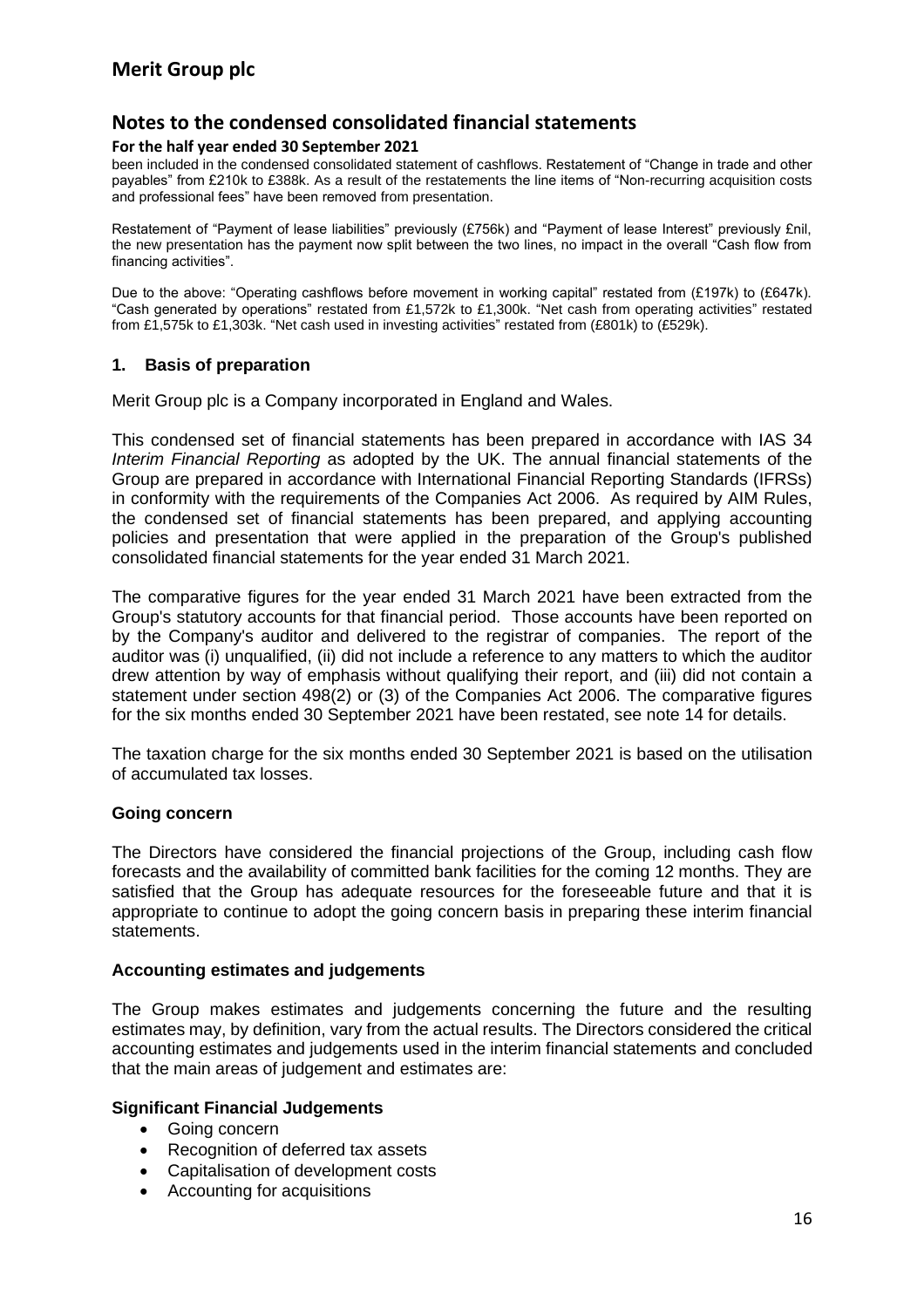#### **For the half year ended 30 September 2021**

been included in the condensed consolidated statement of cashflows. Restatement of "Change in trade and other payables" from £210k to £388k. As a result of the restatements the line items of "Non-recurring acquisition costs and professional fees" have been removed from presentation.

Restatement of "Payment of lease liabilities" previously (£756k) and "Payment of lease Interest" previously £nil, the new presentation has the payment now split between the two lines, no impact in the overall "Cash flow from financing activities".

Due to the above: "Operating cashflows before movement in working capital" restated from (£197k) to (£647k). "Cash generated by operations" restated from £1,572k to £1,300k. "Net cash from operating activities" restated from £1,575k to £1,303k. "Net cash used in investing activities" restated from (£801k) to (£529k).

#### **1. Basis of preparation**

Merit Group plc is a Company incorporated in England and Wales.

This condensed set of financial statements has been prepared in accordance with IAS 34 *Interim Financial Reporting* as adopted by the UK. The annual financial statements of the Group are prepared in accordance with International Financial Reporting Standards (IFRSs) in conformity with the requirements of the Companies Act 2006. As required by AIM Rules, the condensed set of financial statements has been prepared, and applying accounting policies and presentation that were applied in the preparation of the Group's published consolidated financial statements for the year ended 31 March 2021.

The comparative figures for the year ended 31 March 2021 have been extracted from the Group's statutory accounts for that financial period. Those accounts have been reported on by the Company's auditor and delivered to the registrar of companies. The report of the auditor was (i) unqualified, (ii) did not include a reference to any matters to which the auditor drew attention by way of emphasis without qualifying their report, and (iii) did not contain a statement under section 498(2) or (3) of the Companies Act 2006. The comparative figures for the six months ended 30 September 2021 have been restated, see note 14 for details.

The taxation charge for the six months ended 30 September 2021 is based on the utilisation of accumulated tax losses.

#### **Going concern**

The Directors have considered the financial projections of the Group, including cash flow forecasts and the availability of committed bank facilities for the coming 12 months. They are satisfied that the Group has adequate resources for the foreseeable future and that it is appropriate to continue to adopt the going concern basis in preparing these interim financial statements.

#### **Accounting estimates and judgements**

The Group makes estimates and judgements concerning the future and the resulting estimates may, by definition, vary from the actual results. The Directors considered the critical accounting estimates and judgements used in the interim financial statements and concluded that the main areas of judgement and estimates are:

#### **Significant Financial Judgements**

- Going concern
- Recognition of deferred tax assets
- Capitalisation of development costs
- Accounting for acquisitions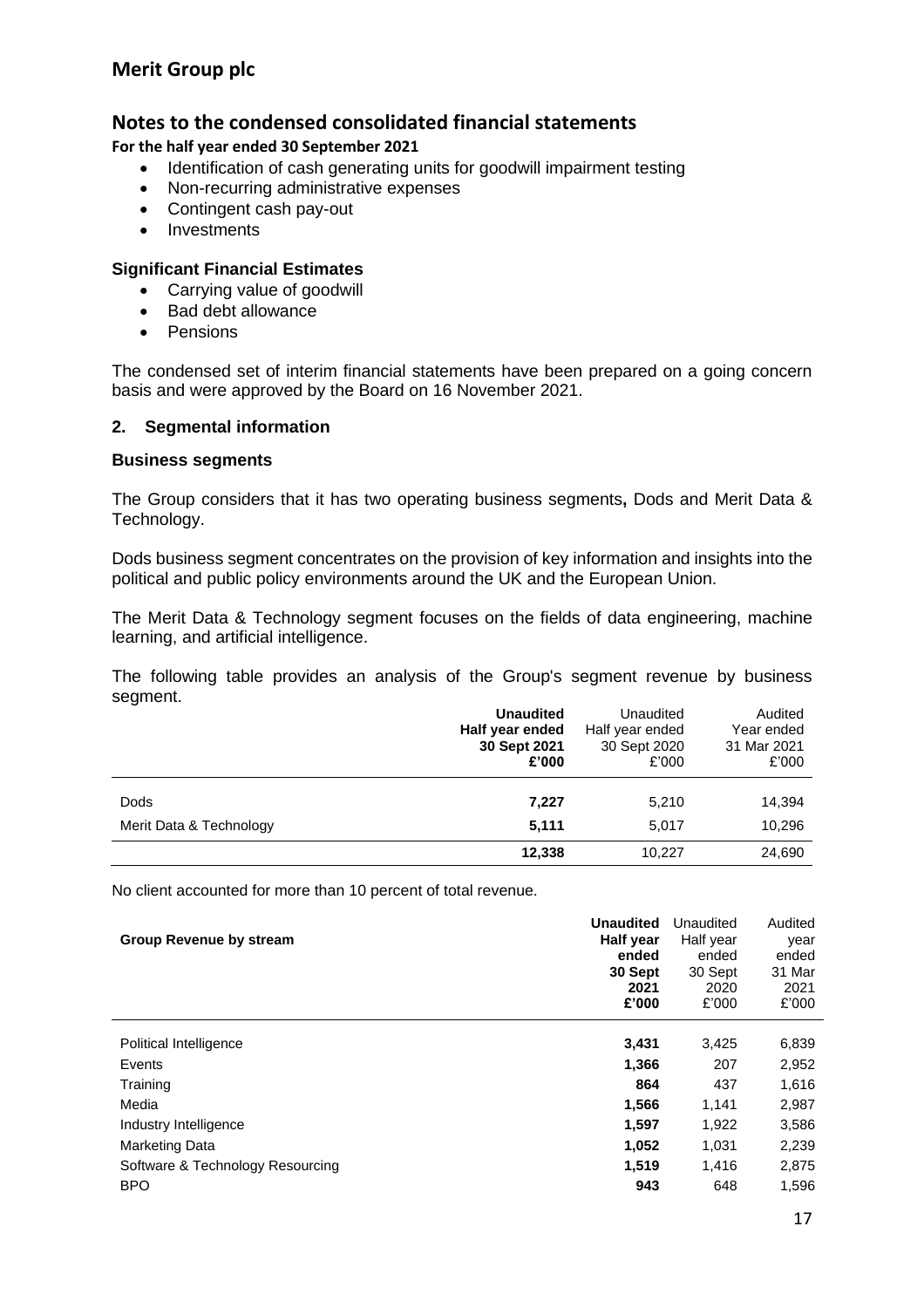## **Notes to the condensed consolidated financial statements**

**For the half year ended 30 September 2021**

- Identification of cash generating units for goodwill impairment testing
- Non-recurring administrative expenses
- Contingent cash pay-out
- Investments

#### **Significant Financial Estimates**

- Carrying value of goodwill
- Bad debt allowance
- Pensions

The condensed set of interim financial statements have been prepared on a going concern basis and were approved by the Board on 16 November 2021.

#### **2. Segmental information**

#### **Business segments**

The Group considers that it has two operating business segments**,** Dods and Merit Data & Technology.

Dods business segment concentrates on the provision of key information and insights into the political and public policy environments around the UK and the European Union.

The Merit Data & Technology segment focuses on the fields of data engineering, machine learning, and artificial intelligence.

The following table provides an analysis of the Group's segment revenue by business segment.

|                         | <b>Unaudited</b><br>Half year ended<br>30 Sept 2021<br>£'000 | Unaudited<br>Half year ended<br>30 Sept 2020<br>£'000 | Audited<br>Year ended<br>31 Mar 2021<br>£'000 |
|-------------------------|--------------------------------------------------------------|-------------------------------------------------------|-----------------------------------------------|
| Dods                    | 7,227                                                        | 5,210                                                 | 14,394                                        |
| Merit Data & Technology | 5.111                                                        | 5.017                                                 | 10,296                                        |
|                         | 12,338                                                       | 10.227                                                | 24,690                                        |

No client accounted for more than 10 percent of total revenue.

| <b>Group Revenue by stream</b>   | <b>Unaudited</b><br><b>Half year</b><br>ended<br>30 Sept<br>2021<br>£'000 | Unaudited<br>Half year<br>ended<br>30 Sept<br>2020<br>£'000 | Audited<br>year<br>ended<br>31 Mar<br>2021<br>£'000 |
|----------------------------------|---------------------------------------------------------------------------|-------------------------------------------------------------|-----------------------------------------------------|
| Political Intelligence           | 3,431                                                                     | 3,425                                                       | 6,839                                               |
| Events                           | 1,366                                                                     | 207                                                         | 2,952                                               |
| Training                         | 864                                                                       | 437                                                         | 1,616                                               |
| Media                            | 1,566                                                                     | 1,141                                                       | 2,987                                               |
| Industry Intelligence            | 1,597                                                                     | 1,922                                                       | 3,586                                               |
| <b>Marketing Data</b>            | 1,052                                                                     | 1,031                                                       | 2,239                                               |
| Software & Technology Resourcing | 1,519                                                                     | 1,416                                                       | 2,875                                               |
| <b>BPO</b>                       | 943                                                                       | 648                                                         | 1,596                                               |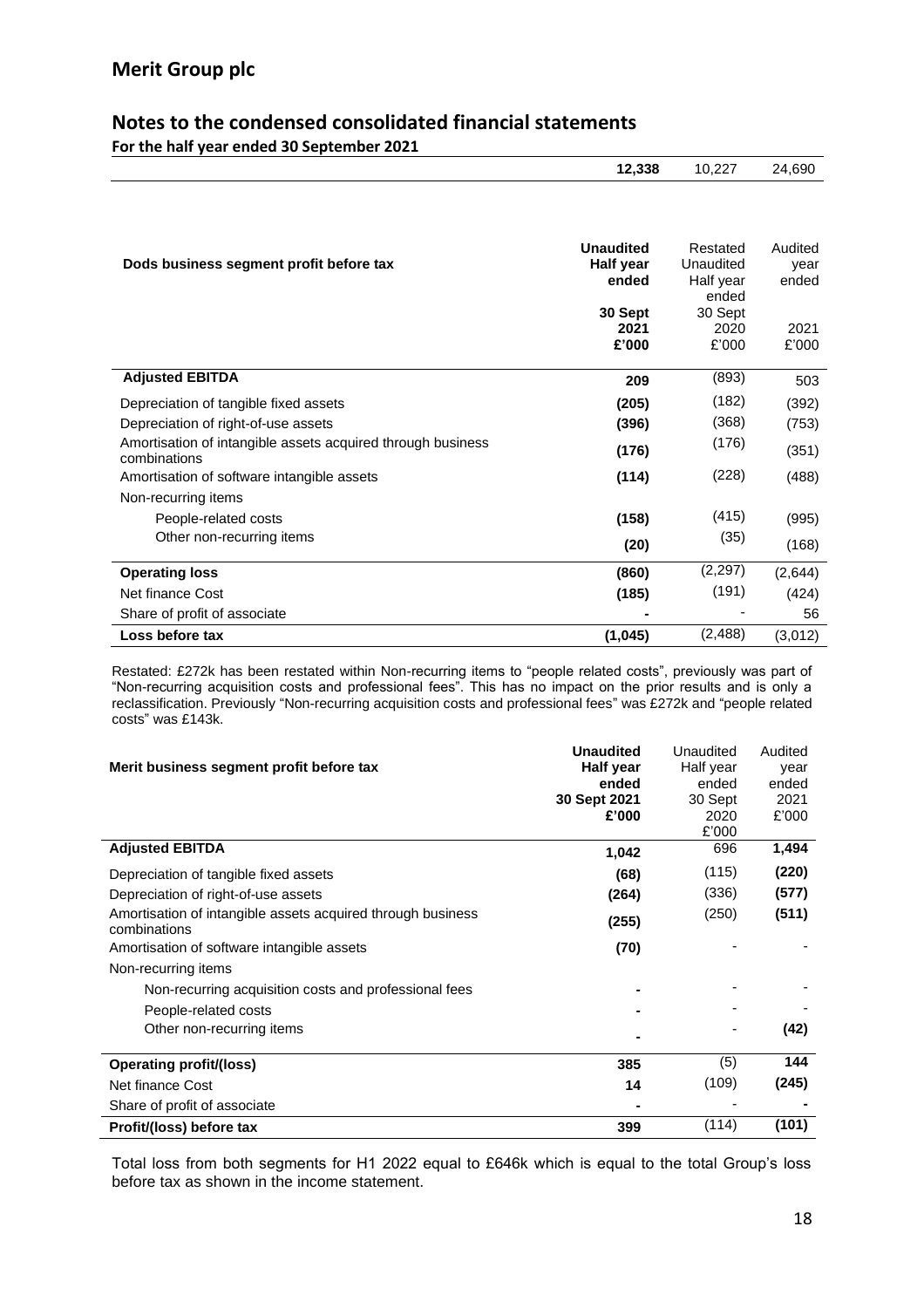#### **Notes to the condensed consolidated financial statements For the half year ended 30 September 2021**

| TOT the name year chucu so september 2021 |        |        |        |
|-------------------------------------------|--------|--------|--------|
|                                           | 12.338 | 10.227 | 24,690 |

| Dods business segment profit before tax                                     | <b>Unaudited</b><br>Half year<br>ended<br>30 Sept<br>2021<br>£'000 | Restated<br>Unaudited<br>Half year<br>ended<br>30 Sept<br>2020<br>£'000 | Audited<br>year<br>ended<br>2021<br>£'000 |
|-----------------------------------------------------------------------------|--------------------------------------------------------------------|-------------------------------------------------------------------------|-------------------------------------------|
| <b>Adjusted EBITDA</b>                                                      | 209                                                                | (893)                                                                   | 503                                       |
| Depreciation of tangible fixed assets                                       | (205)                                                              | (182)                                                                   | (392)                                     |
| Depreciation of right-of-use assets                                         | (396)                                                              | (368)                                                                   | (753)                                     |
| Amortisation of intangible assets acquired through business<br>combinations | (176)                                                              | (176)                                                                   | (351)                                     |
| Amortisation of software intangible assets                                  | (114)                                                              | (228)                                                                   | (488)                                     |
| Non-recurring items                                                         |                                                                    |                                                                         |                                           |
| People-related costs                                                        | (158)                                                              | (415)                                                                   | (995)                                     |
| Other non-recurring items                                                   | (20)                                                               | (35)                                                                    | (168)                                     |
| <b>Operating loss</b>                                                       | (860)                                                              | (2,297)                                                                 | (2,644)                                   |
| Net finance Cost                                                            | (185)                                                              | (191)                                                                   | (424)                                     |
| Share of profit of associate                                                |                                                                    |                                                                         | 56                                        |
| Loss before tax                                                             | (1,045)                                                            | (2, 488)                                                                | (3,012)                                   |

Restated: £272k has been restated within Non-recurring items to "people related costs", previously was part of "Non-recurring acquisition costs and professional fees". This has no impact on the prior results and is only a reclassification. Previously "Non-recurring acquisition costs and professional fees" was £272k and "people related costs" was £143k.

| Merit business segment profit before tax                                    | <b>Unaudited</b><br>Half year<br>ended<br>30 Sept 2021<br>£'000 | Unaudited<br>Half year<br>ended<br>30 Sept<br>2020<br>£'000 | Audited<br>year<br>ended<br>2021<br>£'000 |
|-----------------------------------------------------------------------------|-----------------------------------------------------------------|-------------------------------------------------------------|-------------------------------------------|
| <b>Adjusted EBITDA</b>                                                      | 1,042                                                           | 696                                                         | 1,494                                     |
| Depreciation of tangible fixed assets                                       | (68)                                                            | (115)                                                       | (220)                                     |
| Depreciation of right-of-use assets                                         | (264)                                                           | (336)                                                       | (577)                                     |
| Amortisation of intangible assets acquired through business<br>combinations | (255)                                                           | (250)                                                       | (511)                                     |
| Amortisation of software intangible assets                                  | (70)                                                            |                                                             |                                           |
| Non-recurring items                                                         |                                                                 |                                                             |                                           |
| Non-recurring acquisition costs and professional fees                       |                                                                 |                                                             |                                           |
| People-related costs                                                        |                                                                 |                                                             |                                           |
| Other non-recurring items                                                   |                                                                 |                                                             | (42)                                      |
| <b>Operating profit/(loss)</b>                                              | 385                                                             | (5)                                                         | 144                                       |
| Net finance Cost                                                            | 14                                                              | (109)                                                       | (245)                                     |
| Share of profit of associate                                                |                                                                 |                                                             |                                           |
| Profit/(loss) before tax                                                    | 399                                                             | (114)                                                       | (101)                                     |

Total loss from both segments for H1 2022 equal to £646k which is equal to the total Group's loss before tax as shown in the income statement.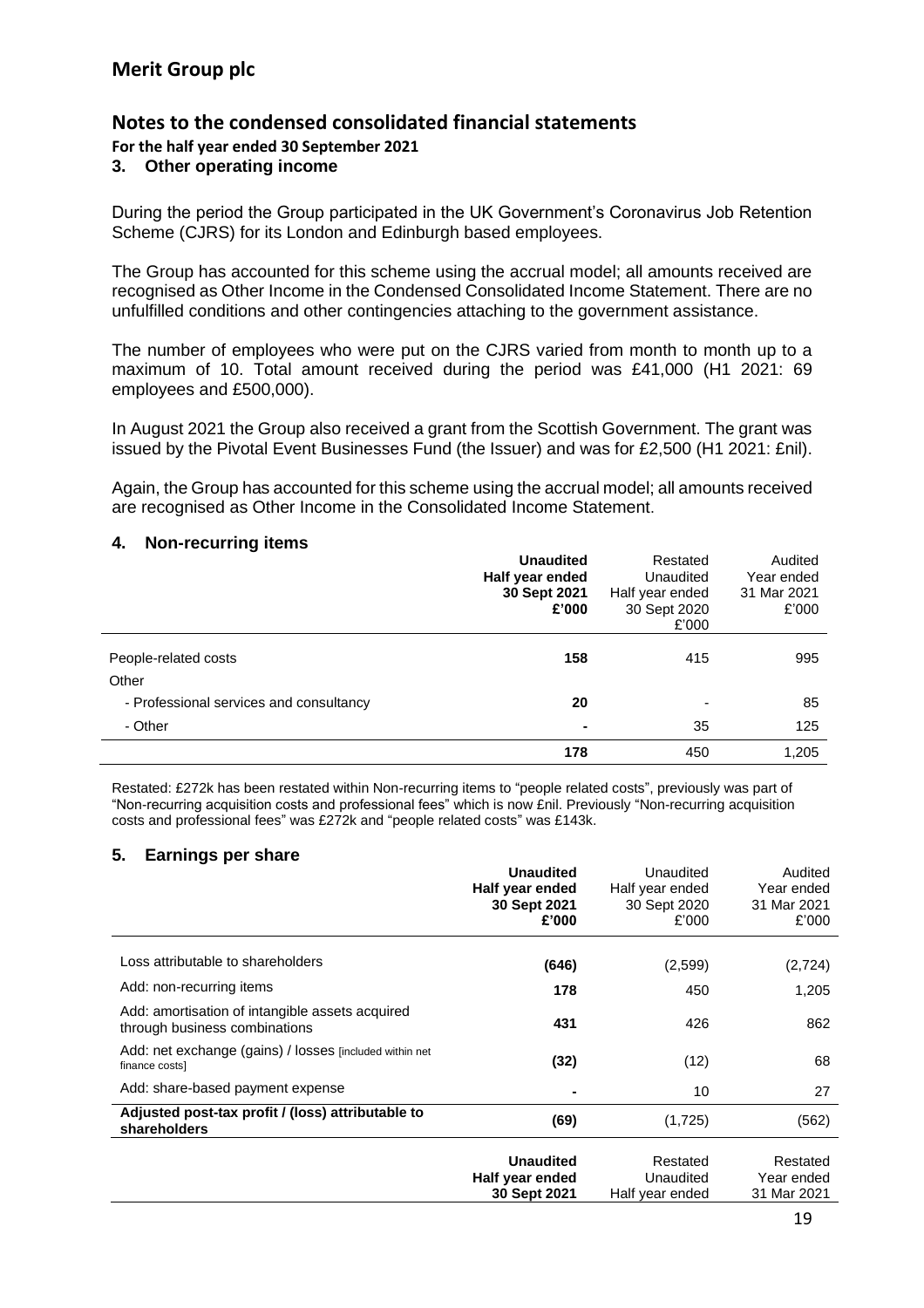**For the half year ended 30 September 2021**

#### **3. Other operating income**

During the period the Group participated in the UK Government's Coronavirus Job Retention Scheme (CJRS) for its London and Edinburgh based employees.

The Group has accounted for this scheme using the accrual model; all amounts received are recognised as Other Income in the Condensed Consolidated Income Statement. There are no unfulfilled conditions and other contingencies attaching to the government assistance.

The number of employees who were put on the CJRS varied from month to month up to a maximum of 10. Total amount received during the period was £41,000 (H1 2021: 69 employees and £500,000).

In August 2021 the Group also received a grant from the Scottish Government. The grant was issued by the Pivotal Event Businesses Fund (the Issuer) and was for £2,500 (H1 2021: £nil).

Again, the Group has accounted for this scheme using the accrual model; all amounts received are recognised as Other Income in the Consolidated Income Statement.

#### **4. Non-recurring items**

|                                         | <b>Unaudited</b><br>Half year ended<br>30 Sept 2021<br>£'000 | Restated<br>Unaudited<br>Half year ended<br>30 Sept 2020<br>£'000 | Audited<br>Year ended<br>31 Mar 2021<br>£'000 |
|-----------------------------------------|--------------------------------------------------------------|-------------------------------------------------------------------|-----------------------------------------------|
| People-related costs                    | 158                                                          | 415                                                               | 995                                           |
| Other                                   |                                                              |                                                                   |                                               |
| - Professional services and consultancy | 20                                                           | $\overline{\phantom{a}}$                                          | 85                                            |
| - Other                                 |                                                              | 35                                                                | 125                                           |
|                                         | 178                                                          | 450                                                               | 1,205                                         |

Restated: £272k has been restated within Non-recurring items to "people related costs", previously was part of "Non-recurring acquisition costs and professional fees" which is now £nil. Previously "Non-recurring acquisition costs and professional fees" was £272k and "people related costs" was £143k.

#### **5. Earnings per share**

|                                                                                  | <b>Unaudited</b><br>Half year ended<br>30 Sept 2021<br>£'000 | Unaudited<br>Half year ended<br>30 Sept 2020<br>£'000 | Audited<br>Year ended<br>31 Mar 2021<br>£'000 |
|----------------------------------------------------------------------------------|--------------------------------------------------------------|-------------------------------------------------------|-----------------------------------------------|
| Loss attributable to shareholders                                                | (646)                                                        | (2,599)                                               | (2,724)                                       |
| Add: non-recurring items                                                         | 178                                                          | 450                                                   | 1,205                                         |
| Add: amortisation of intangible assets acquired<br>through business combinations | 431                                                          | 426                                                   | 862                                           |
| Add: net exchange (gains) / losses [included within net<br>finance costs]        | (32)                                                         | (12)                                                  | 68                                            |
| Add: share-based payment expense                                                 |                                                              | 10                                                    | 27                                            |
| Adjusted post-tax profit / (loss) attributable to<br>shareholders                | (69)                                                         | (1,725)                                               | (562)                                         |
|                                                                                  | <b>Unaudited</b><br>Half year ended<br>30 Sept 2021          | Restated<br>Unaudited<br>Half year ended              | Restated<br>Year ended<br>31 Mar 2021         |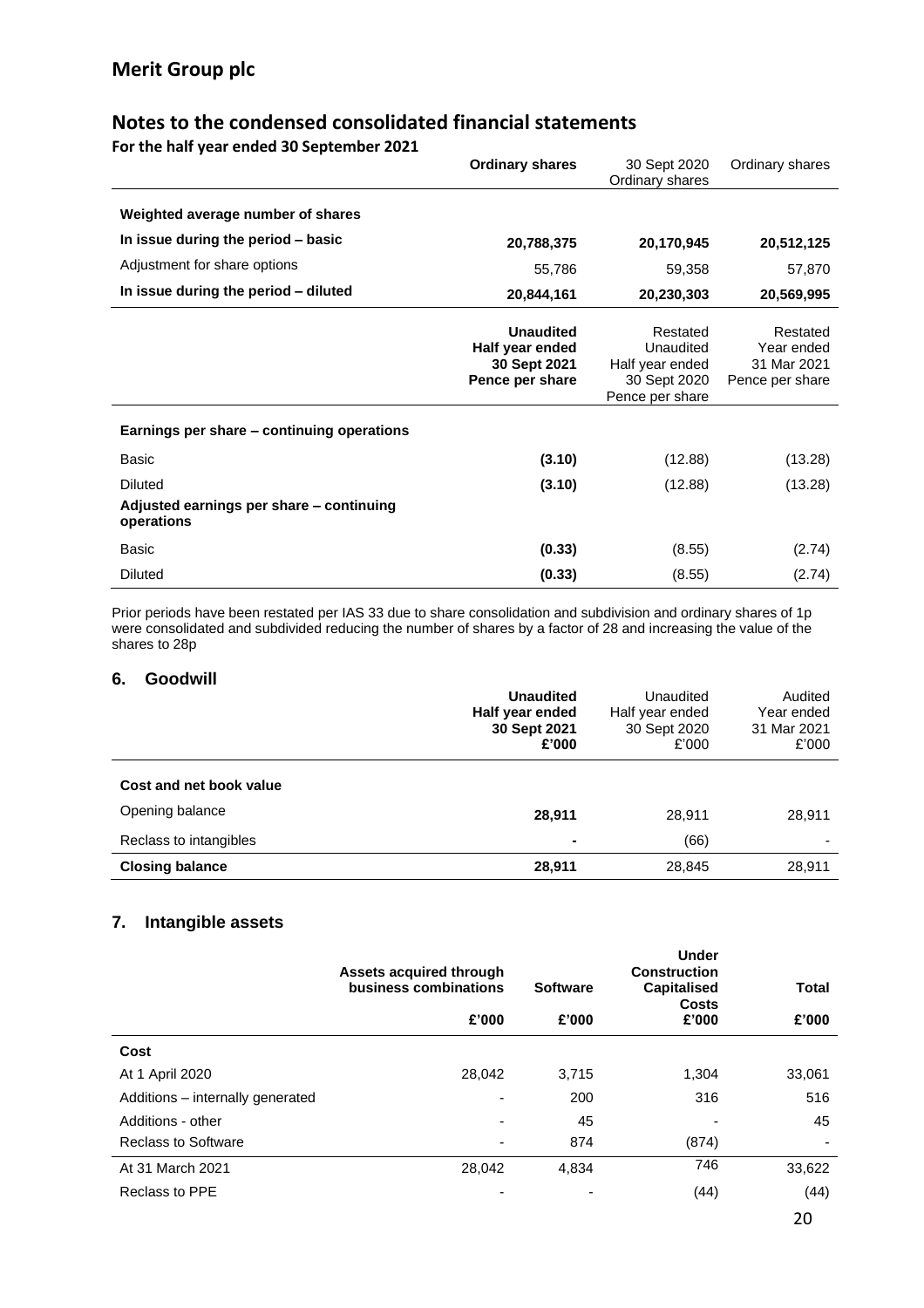**For the half year ended 30 September 2021**

|                                                        | <b>Ordinary shares</b>                                                 | 30 Sept 2020<br>Ordinary shares                                             | Ordinary shares                                          |
|--------------------------------------------------------|------------------------------------------------------------------------|-----------------------------------------------------------------------------|----------------------------------------------------------|
| Weighted average number of shares                      |                                                                        |                                                                             |                                                          |
| In issue during the period - basic                     | 20,788,375                                                             | 20,170,945                                                                  | 20,512,125                                               |
| Adjustment for share options                           | 55,786                                                                 | 59,358                                                                      | 57,870                                                   |
| In issue during the period - diluted                   | 20,844,161                                                             | 20,230,303                                                                  | 20,569,995                                               |
|                                                        | <b>Unaudited</b><br>Half year ended<br>30 Sept 2021<br>Pence per share | Restated<br>Unaudited<br>Half year ended<br>30 Sept 2020<br>Pence per share | Restated<br>Year ended<br>31 Mar 2021<br>Pence per share |
| Earnings per share - continuing operations             |                                                                        |                                                                             |                                                          |
| Basic                                                  | (3.10)                                                                 | (12.88)                                                                     | (13.28)                                                  |
| <b>Diluted</b>                                         | (3.10)                                                                 | (12.88)                                                                     | (13.28)                                                  |
| Adjusted earnings per share - continuing<br>operations |                                                                        |                                                                             |                                                          |
| Basic                                                  | (0.33)                                                                 | (8.55)                                                                      | (2.74)                                                   |
| <b>Diluted</b>                                         | (0.33)                                                                 | (8.55)                                                                      | (2.74)                                                   |

Prior periods have been restated per IAS 33 due to share consolidation and subdivision and ordinary shares of 1p were consolidated and subdivided reducing the number of shares by a factor of 28 and increasing the value of the shares to 28p

#### **6. Goodwill**

|                         | <b>Unaudited</b><br>Half year ended<br>30 Sept 2021<br>£'000 | Unaudited<br>Half year ended<br>30 Sept 2020<br>£'000 | Audited<br>Year ended<br>31 Mar 2021<br>£'000 |
|-------------------------|--------------------------------------------------------------|-------------------------------------------------------|-----------------------------------------------|
| Cost and net book value |                                                              |                                                       |                                               |
| Opening balance         | 28,911                                                       | 28.911                                                | 28,911                                        |
| Reclass to intangibles  |                                                              | (66)                                                  |                                               |
| <b>Closing balance</b>  | 28,911                                                       | 28,845                                                | 28,911                                        |

#### **7. Intangible assets**

|                                  | Assets acquired through<br>business combinations | <b>Software</b> | <b>Under</b><br><b>Construction</b><br><b>Capitalised</b><br><b>Costs</b> | <b>Total</b> |
|----------------------------------|--------------------------------------------------|-----------------|---------------------------------------------------------------------------|--------------|
|                                  | £'000                                            | £'000           | £'000                                                                     | £'000        |
| Cost                             |                                                  |                 |                                                                           |              |
| At 1 April 2020                  | 28,042                                           | 3,715           | 1,304                                                                     | 33,061       |
| Additions - internally generated | $\overline{\phantom{0}}$                         | 200             | 316                                                                       | 516          |
| Additions - other                |                                                  | 45              |                                                                           | 45           |
| <b>Reclass to Software</b>       |                                                  | 874             | (874)                                                                     |              |
| At 31 March 2021                 | 28,042                                           | 4,834           | 746                                                                       | 33,622       |
| Reclass to PPE                   | $\blacksquare$                                   |                 | (44)                                                                      | (44)         |
|                                  |                                                  |                 |                                                                           | 20           |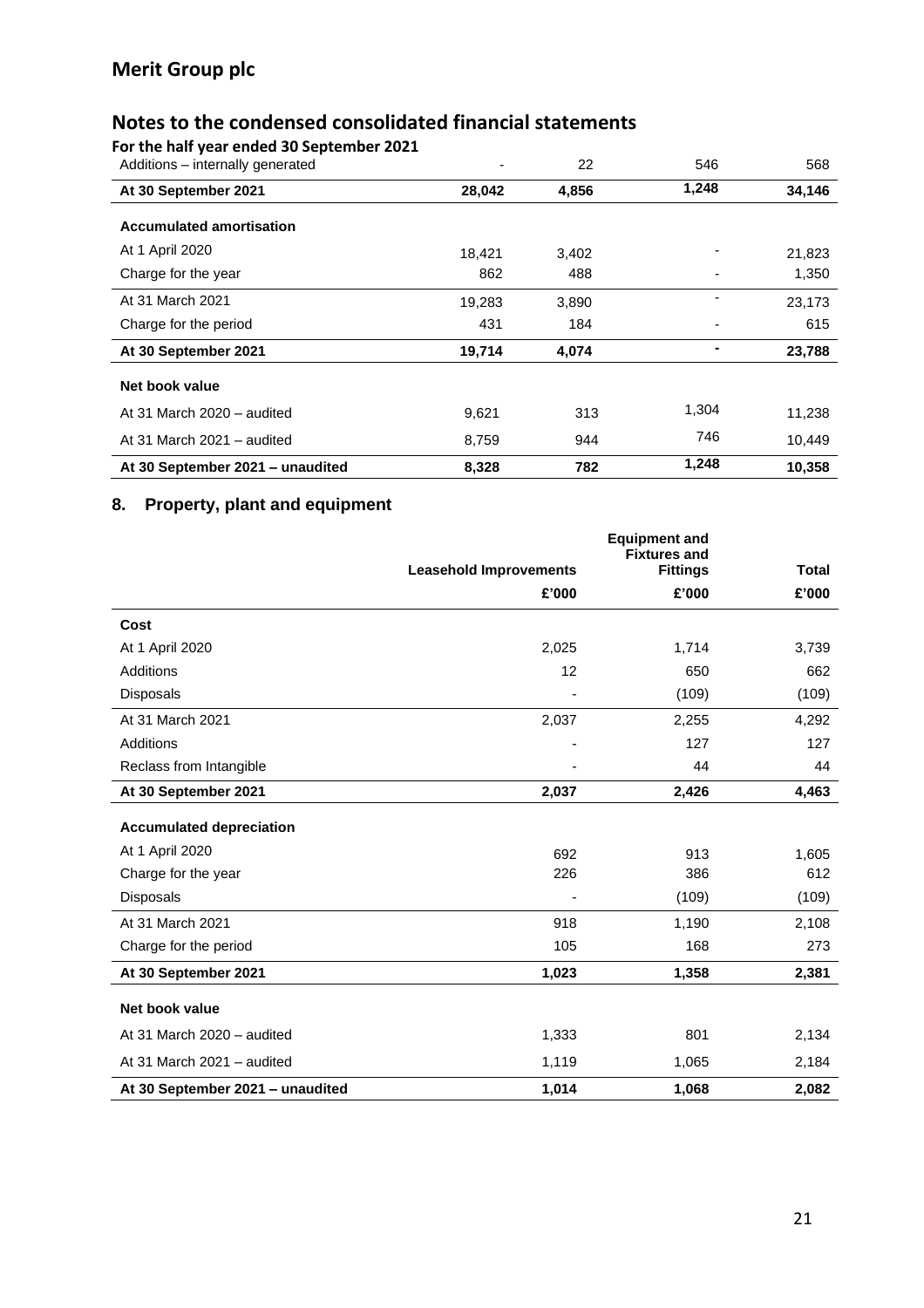**For the half year ended 30 September 2021**

| Additions - internally generated |        | 22    | 546   | 568    |
|----------------------------------|--------|-------|-------|--------|
| At 30 September 2021             | 28,042 | 4,856 | 1,248 | 34,146 |
| <b>Accumulated amortisation</b>  |        |       |       |        |
| At 1 April 2020                  | 18,421 | 3,402 |       | 21,823 |
| Charge for the year              | 862    | 488   |       | 1,350  |
| At 31 March 2021                 | 19,283 | 3,890 |       | 23,173 |
| Charge for the period            | 431    | 184   |       | 615    |
| At 30 September 2021             | 19,714 | 4,074 |       | 23,788 |
| Net book value                   |        |       |       |        |
| At 31 March 2020 - audited       | 9,621  | 313   | 1,304 | 11,238 |
| At 31 March 2021 - audited       | 8,759  | 944   | 746   | 10,449 |
| At 30 September 2021 - unaudited | 8,328  | 782   | 1,248 | 10,358 |

## **8. Property, plant and equipment**

|                                  | <b>Equipment and</b><br><b>Fixtures and</b> |                 |              |
|----------------------------------|---------------------------------------------|-----------------|--------------|
|                                  | <b>Leasehold Improvements</b>               | <b>Fittings</b> | <b>Total</b> |
|                                  | £'000                                       | £'000           | £'000        |
| Cost                             |                                             |                 |              |
| At 1 April 2020                  | 2,025                                       | 1,714           | 3,739        |
| Additions                        | 12                                          | 650             | 662          |
| <b>Disposals</b>                 |                                             | (109)           | (109)        |
| At 31 March 2021                 | 2,037                                       | 2,255           | 4,292        |
| Additions                        |                                             | 127             | 127          |
| Reclass from Intangible          |                                             | 44              | 44           |
| At 30 September 2021             | 2,037                                       | 2,426           | 4,463        |
| <b>Accumulated depreciation</b>  |                                             |                 |              |
| At 1 April 2020                  | 692                                         | 913             | 1,605        |
| Charge for the year              | 226                                         | 386             | 612          |
| <b>Disposals</b>                 |                                             | (109)           | (109)        |
| At 31 March 2021                 | 918                                         | 1,190           | 2,108        |
| Charge for the period            | 105                                         | 168             | 273          |
| At 30 September 2021             | 1,023                                       | 1,358           | 2,381        |
| Net book value                   |                                             |                 |              |
| At 31 March 2020 - audited       | 1,333                                       | 801             | 2,134        |
| At 31 March 2021 - audited       | 1,119                                       | 1,065           | 2,184        |
| At 30 September 2021 - unaudited | 1,014                                       | 1,068           | 2,082        |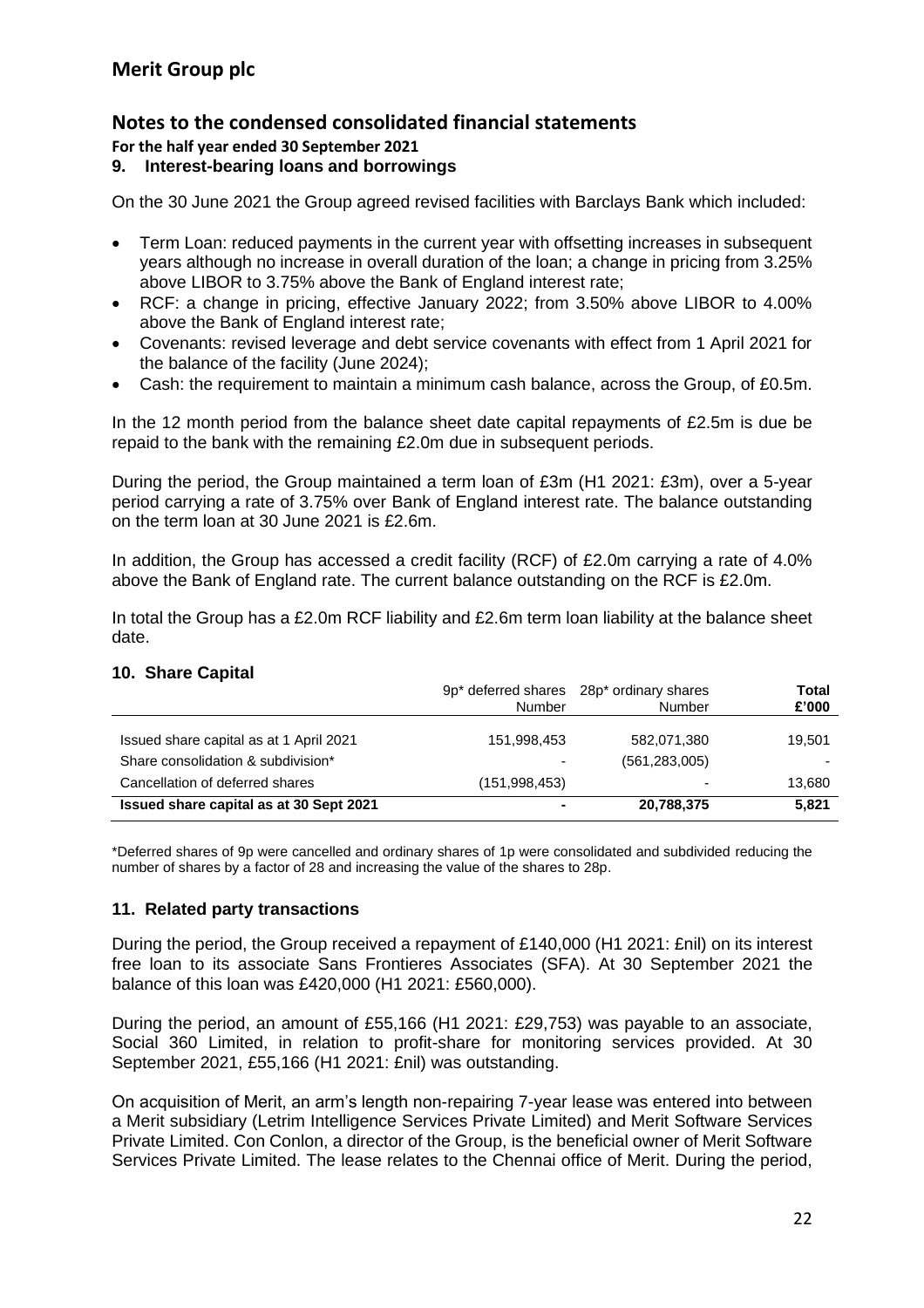**For the half year ended 30 September 2021**

#### **9. Interest-bearing loans and borrowings**

On the 30 June 2021 the Group agreed revised facilities with Barclays Bank which included:

- Term Loan: reduced payments in the current year with offsetting increases in subsequent years although no increase in overall duration of the loan; a change in pricing from 3.25% above LIBOR to 3.75% above the Bank of England interest rate;
- RCF: a change in pricing, effective January 2022; from 3.50% above LIBOR to 4.00% above the Bank of England interest rate;
- Covenants: revised leverage and debt service covenants with effect from 1 April 2021 for the balance of the facility (June 2024);
- Cash: the requirement to maintain a minimum cash balance, across the Group, of £0.5m.

In the 12 month period from the balance sheet date capital repayments of £2.5m is due be repaid to the bank with the remaining £2.0m due in subsequent periods.

During the period, the Group maintained a term loan of £3m (H1 2021: £3m), over a 5-year period carrying a rate of 3.75% over Bank of England interest rate. The balance outstanding on the term loan at 30 June 2021 is £2.6m.

In addition, the Group has accessed a credit facility (RCF) of £2.0m carrying a rate of 4.0% above the Bank of England rate. The current balance outstanding on the RCF is £2.0m.

In total the Group has a £2.0m RCF liability and £2.6m term loan liability at the balance sheet date.

#### **10. Share Capital**

|                                         | Number         | 9p* deferred shares 28p* ordinary shares<br>Number | Total<br>£'000 |
|-----------------------------------------|----------------|----------------------------------------------------|----------------|
| Issued share capital as at 1 April 2021 | 151,998,453    | 582,071,380                                        | 19,501         |
| Share consolidation & subdivision*      | -              | (561, 283, 005)                                    |                |
| Cancellation of deferred shares         | (151.998.453)  | $\overline{\phantom{0}}$                           | 13.680         |
| Issued share capital as at 30 Sept 2021 | $\blacksquare$ | 20,788,375                                         | 5,821          |

\*Deferred shares of 9p were cancelled and ordinary shares of 1p were consolidated and subdivided reducing the number of shares by a factor of 28 and increasing the value of the shares to 28p.

#### **11. Related party transactions**

During the period, the Group received a repayment of £140,000 (H1 2021: £nil) on its interest free loan to its associate Sans Frontieres Associates (SFA). At 30 September 2021 the balance of this loan was £420,000 (H1 2021: £560,000).

During the period, an amount of £55,166 (H1 2021: £29,753) was payable to an associate, Social 360 Limited, in relation to profit-share for monitoring services provided. At 30 September 2021, £55,166 (H1 2021: £nil) was outstanding.

On acquisition of Merit, an arm's length non-repairing 7-year lease was entered into between a Merit subsidiary (Letrim Intelligence Services Private Limited) and Merit Software Services Private Limited. Con Conlon, a director of the Group, is the beneficial owner of Merit Software Services Private Limited. The lease relates to the Chennai office of Merit. During the period,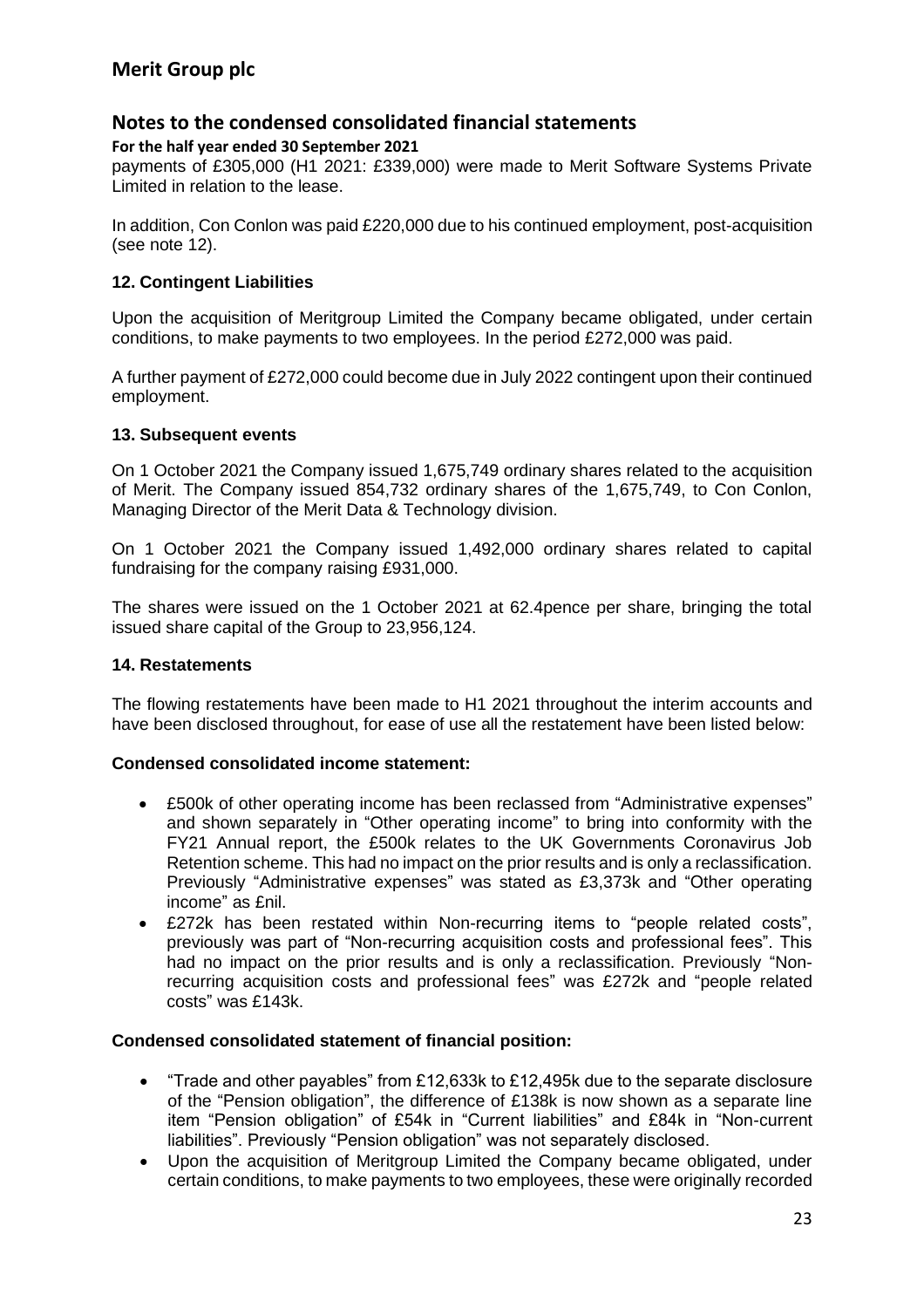#### **For the half year ended 30 September 2021**

payments of £305,000 (H1 2021: £339,000) were made to Merit Software Systems Private Limited in relation to the lease.

In addition, Con Conlon was paid £220,000 due to his continued employment, post-acquisition (see note 12).

### **12. Contingent Liabilities**

Upon the acquisition of Meritgroup Limited the Company became obligated, under certain conditions, to make payments to two employees. In the period £272,000 was paid.

A further payment of £272,000 could become due in July 2022 contingent upon their continued employment.

#### **13. Subsequent events**

On 1 October 2021 the Company issued 1,675,749 ordinary shares related to the acquisition of Merit. The Company issued 854,732 ordinary shares of the 1,675,749, to Con Conlon, Managing Director of the Merit Data & Technology division.

On 1 October 2021 the Company issued 1,492,000 ordinary shares related to capital fundraising for the company raising £931,000.

The shares were issued on the 1 October 2021 at 62.4pence per share, bringing the total issued share capital of the Group to 23,956,124.

#### **14. Restatements**

The flowing restatements have been made to H1 2021 throughout the interim accounts and have been disclosed throughout, for ease of use all the restatement have been listed below:

#### **Condensed consolidated income statement:**

- £500k of other operating income has been reclassed from "Administrative expenses" and shown separately in "Other operating income" to bring into conformity with the FY21 Annual report, the £500k relates to the UK Governments Coronavirus Job Retention scheme. This had no impact on the prior results and is only a reclassification. Previously "Administrative expenses" was stated as £3,373k and "Other operating income" as £nil.
- £272k has been restated within Non-recurring items to "people related costs", previously was part of "Non-recurring acquisition costs and professional fees". This had no impact on the prior results and is only a reclassification. Previously "Nonrecurring acquisition costs and professional fees" was £272k and "people related costs" was £143k.

#### **Condensed consolidated statement of financial position:**

- "Trade and other payables" from £12,633k to £12,495k due to the separate disclosure of the "Pension obligation", the difference of £138k is now shown as a separate line item "Pension obligation" of £54k in "Current liabilities" and £84k in "Non-current liabilities". Previously "Pension obligation" was not separately disclosed.
- Upon the acquisition of Meritgroup Limited the Company became obligated, under certain conditions, to make payments to two employees, these were originally recorded